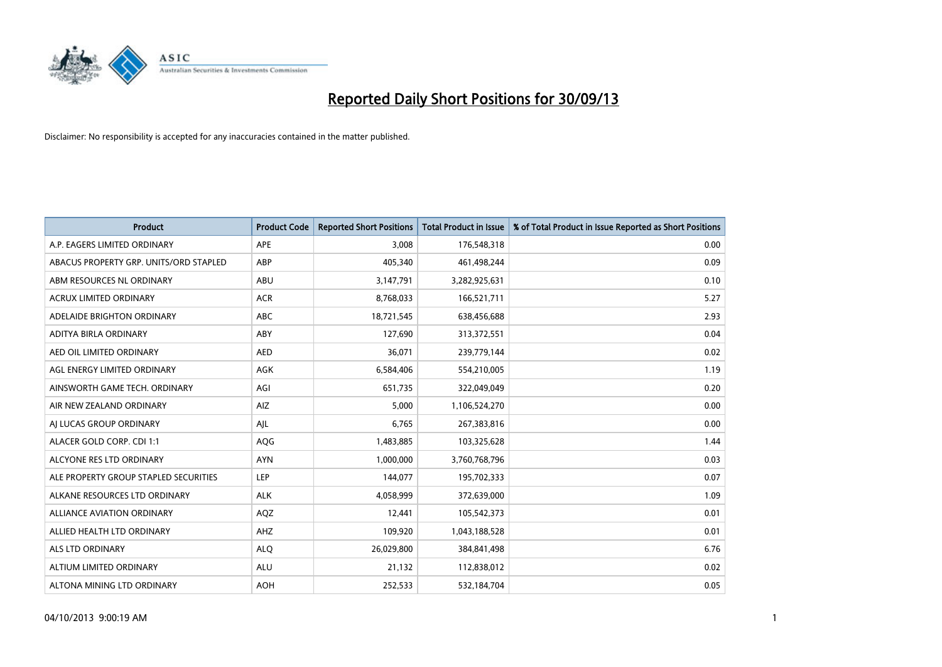

| <b>Product</b>                         | <b>Product Code</b> | <b>Reported Short Positions</b> | <b>Total Product in Issue</b> | % of Total Product in Issue Reported as Short Positions |
|----------------------------------------|---------------------|---------------------------------|-------------------------------|---------------------------------------------------------|
| A.P. EAGERS LIMITED ORDINARY           | APE                 | 3.008                           | 176,548,318                   | 0.00                                                    |
| ABACUS PROPERTY GRP. UNITS/ORD STAPLED | ABP                 | 405,340                         | 461,498,244                   | 0.09                                                    |
| ABM RESOURCES NL ORDINARY              | ABU                 | 3,147,791                       | 3,282,925,631                 | 0.10                                                    |
| ACRUX LIMITED ORDINARY                 | <b>ACR</b>          | 8,768,033                       | 166,521,711                   | 5.27                                                    |
| ADELAIDE BRIGHTON ORDINARY             | <b>ABC</b>          | 18,721,545                      | 638,456,688                   | 2.93                                                    |
| ADITYA BIRLA ORDINARY                  | ABY                 | 127,690                         | 313,372,551                   | 0.04                                                    |
| AED OIL LIMITED ORDINARY               | <b>AED</b>          | 36,071                          | 239,779,144                   | 0.02                                                    |
| AGL ENERGY LIMITED ORDINARY            | AGK                 | 6,584,406                       | 554,210,005                   | 1.19                                                    |
| AINSWORTH GAME TECH. ORDINARY          | AGI                 | 651,735                         | 322,049,049                   | 0.20                                                    |
| AIR NEW ZEALAND ORDINARY               | <b>AIZ</b>          | 5,000                           | 1,106,524,270                 | 0.00                                                    |
| AI LUCAS GROUP ORDINARY                | AJL                 | 6,765                           | 267,383,816                   | 0.00                                                    |
| ALACER GOLD CORP. CDI 1:1              | AQG                 | 1,483,885                       | 103,325,628                   | 1.44                                                    |
| ALCYONE RES LTD ORDINARY               | <b>AYN</b>          | 1,000,000                       | 3,760,768,796                 | 0.03                                                    |
| ALE PROPERTY GROUP STAPLED SECURITIES  | LEP                 | 144,077                         | 195,702,333                   | 0.07                                                    |
| ALKANE RESOURCES LTD ORDINARY          | <b>ALK</b>          | 4,058,999                       | 372,639,000                   | 1.09                                                    |
| <b>ALLIANCE AVIATION ORDINARY</b>      | AQZ                 | 12,441                          | 105,542,373                   | 0.01                                                    |
| ALLIED HEALTH LTD ORDINARY             | AHZ                 | 109,920                         | 1,043,188,528                 | 0.01                                                    |
| <b>ALS LTD ORDINARY</b>                | <b>ALQ</b>          | 26,029,800                      | 384, 841, 498                 | 6.76                                                    |
| ALTIUM LIMITED ORDINARY                | <b>ALU</b>          | 21,132                          | 112,838,012                   | 0.02                                                    |
| ALTONA MINING LTD ORDINARY             | <b>AOH</b>          | 252,533                         | 532,184,704                   | 0.05                                                    |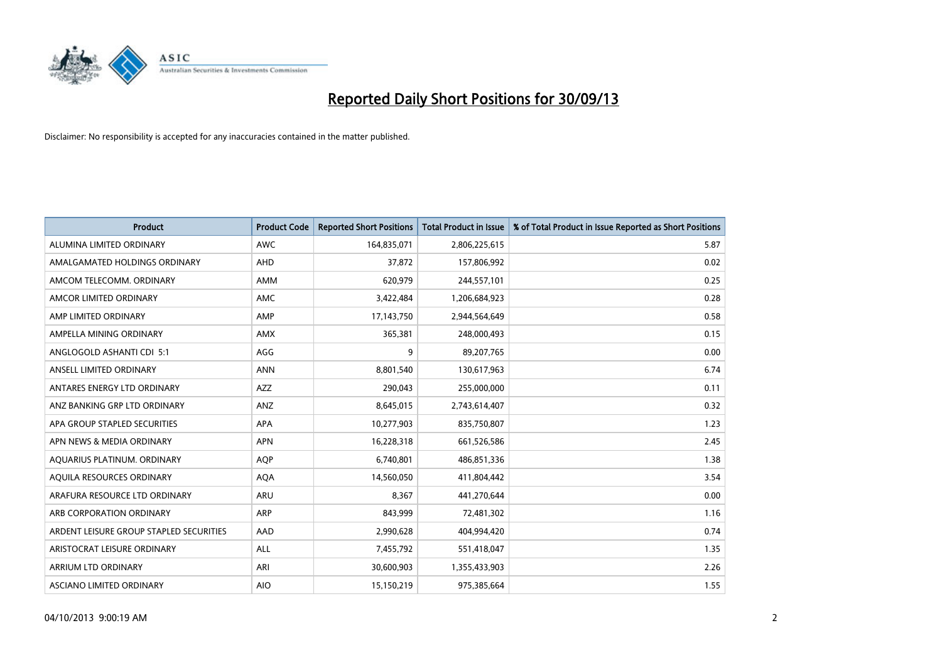

| Product                                 | <b>Product Code</b> | <b>Reported Short Positions</b> | <b>Total Product in Issue</b> | % of Total Product in Issue Reported as Short Positions |
|-----------------------------------------|---------------------|---------------------------------|-------------------------------|---------------------------------------------------------|
| ALUMINA LIMITED ORDINARY                | <b>AWC</b>          | 164,835,071                     | 2,806,225,615                 | 5.87                                                    |
| AMALGAMATED HOLDINGS ORDINARY           | AHD                 | 37,872                          | 157,806,992                   | 0.02                                                    |
| AMCOM TELECOMM, ORDINARY                | AMM                 | 620,979                         | 244,557,101                   | 0.25                                                    |
| AMCOR LIMITED ORDINARY                  | AMC                 | 3,422,484                       | 1,206,684,923                 | 0.28                                                    |
| AMP LIMITED ORDINARY                    | AMP                 | 17,143,750                      | 2,944,564,649                 | 0.58                                                    |
| AMPELLA MINING ORDINARY                 | AMX                 | 365,381                         | 248,000,493                   | 0.15                                                    |
| ANGLOGOLD ASHANTI CDI 5:1               | AGG                 | 9                               | 89,207,765                    | 0.00                                                    |
| ANSELL LIMITED ORDINARY                 | <b>ANN</b>          | 8,801,540                       | 130,617,963                   | 6.74                                                    |
| ANTARES ENERGY LTD ORDINARY             | AZZ                 | 290,043                         | 255,000,000                   | 0.11                                                    |
| ANZ BANKING GRP LTD ORDINARY            | ANZ                 | 8,645,015                       | 2,743,614,407                 | 0.32                                                    |
| APA GROUP STAPLED SECURITIES            | APA                 | 10,277,903                      | 835,750,807                   | 1.23                                                    |
| APN NEWS & MEDIA ORDINARY               | <b>APN</b>          | 16,228,318                      | 661,526,586                   | 2.45                                                    |
| AQUARIUS PLATINUM. ORDINARY             | <b>AQP</b>          | 6,740,801                       | 486,851,336                   | 1.38                                                    |
| AQUILA RESOURCES ORDINARY               | <b>AQA</b>          | 14,560,050                      | 411,804,442                   | 3.54                                                    |
| ARAFURA RESOURCE LTD ORDINARY           | ARU                 | 8,367                           | 441,270,644                   | 0.00                                                    |
| ARB CORPORATION ORDINARY                | ARP                 | 843,999                         | 72,481,302                    | 1.16                                                    |
| ARDENT LEISURE GROUP STAPLED SECURITIES | AAD                 | 2,990,628                       | 404,994,420                   | 0.74                                                    |
| ARISTOCRAT LEISURE ORDINARY             | ALL                 | 7,455,792                       | 551,418,047                   | 1.35                                                    |
| ARRIUM LTD ORDINARY                     | ARI                 | 30,600,903                      | 1,355,433,903                 | 2.26                                                    |
| ASCIANO LIMITED ORDINARY                | <b>AIO</b>          | 15,150,219                      | 975,385,664                   | 1.55                                                    |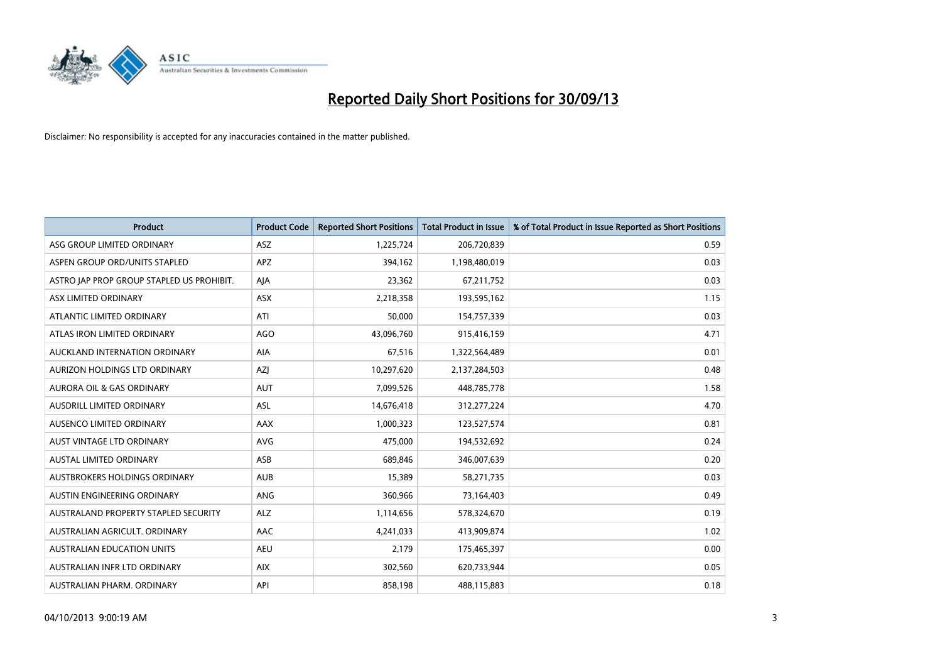

| <b>Product</b>                            | <b>Product Code</b> | <b>Reported Short Positions</b> | <b>Total Product in Issue</b> | % of Total Product in Issue Reported as Short Positions |
|-------------------------------------------|---------------------|---------------------------------|-------------------------------|---------------------------------------------------------|
| ASG GROUP LIMITED ORDINARY                | <b>ASZ</b>          | 1,225,724                       | 206,720,839                   | 0.59                                                    |
| ASPEN GROUP ORD/UNITS STAPLED             | <b>APZ</b>          | 394,162                         | 1,198,480,019                 | 0.03                                                    |
| ASTRO JAP PROP GROUP STAPLED US PROHIBIT. | AJA                 | 23,362                          | 67,211,752                    | 0.03                                                    |
| ASX LIMITED ORDINARY                      | ASX                 | 2,218,358                       | 193,595,162                   | 1.15                                                    |
| ATLANTIC LIMITED ORDINARY                 | ATI                 | 50,000                          | 154,757,339                   | 0.03                                                    |
| ATLAS IRON LIMITED ORDINARY               | <b>AGO</b>          | 43,096,760                      | 915,416,159                   | 4.71                                                    |
| AUCKLAND INTERNATION ORDINARY             | AIA                 | 67,516                          | 1,322,564,489                 | 0.01                                                    |
| AURIZON HOLDINGS LTD ORDINARY             | AZJ                 | 10,297,620                      | 2,137,284,503                 | 0.48                                                    |
| <b>AURORA OIL &amp; GAS ORDINARY</b>      | <b>AUT</b>          | 7,099,526                       | 448,785,778                   | 1.58                                                    |
| <b>AUSDRILL LIMITED ORDINARY</b>          | ASL                 | 14,676,418                      | 312,277,224                   | 4.70                                                    |
| AUSENCO LIMITED ORDINARY                  | AAX                 | 1,000,323                       | 123,527,574                   | 0.81                                                    |
| <b>AUST VINTAGE LTD ORDINARY</b>          | <b>AVG</b>          | 475,000                         | 194,532,692                   | 0.24                                                    |
| AUSTAL LIMITED ORDINARY                   | ASB                 | 689,846                         | 346,007,639                   | 0.20                                                    |
| AUSTBROKERS HOLDINGS ORDINARY             | <b>AUB</b>          | 15,389                          | 58,271,735                    | 0.03                                                    |
| <b>AUSTIN ENGINEERING ORDINARY</b>        | ANG                 | 360,966                         | 73,164,403                    | 0.49                                                    |
| AUSTRALAND PROPERTY STAPLED SECURITY      | <b>ALZ</b>          | 1,114,656                       | 578,324,670                   | 0.19                                                    |
| AUSTRALIAN AGRICULT. ORDINARY             | AAC                 | 4,241,033                       | 413,909,874                   | 1.02                                                    |
| <b>AUSTRALIAN EDUCATION UNITS</b>         | <b>AEU</b>          | 2,179                           | 175,465,397                   | 0.00                                                    |
| AUSTRALIAN INFR LTD ORDINARY              | <b>AIX</b>          | 302,560                         | 620,733,944                   | 0.05                                                    |
| AUSTRALIAN PHARM. ORDINARY                | API                 | 858,198                         | 488,115,883                   | 0.18                                                    |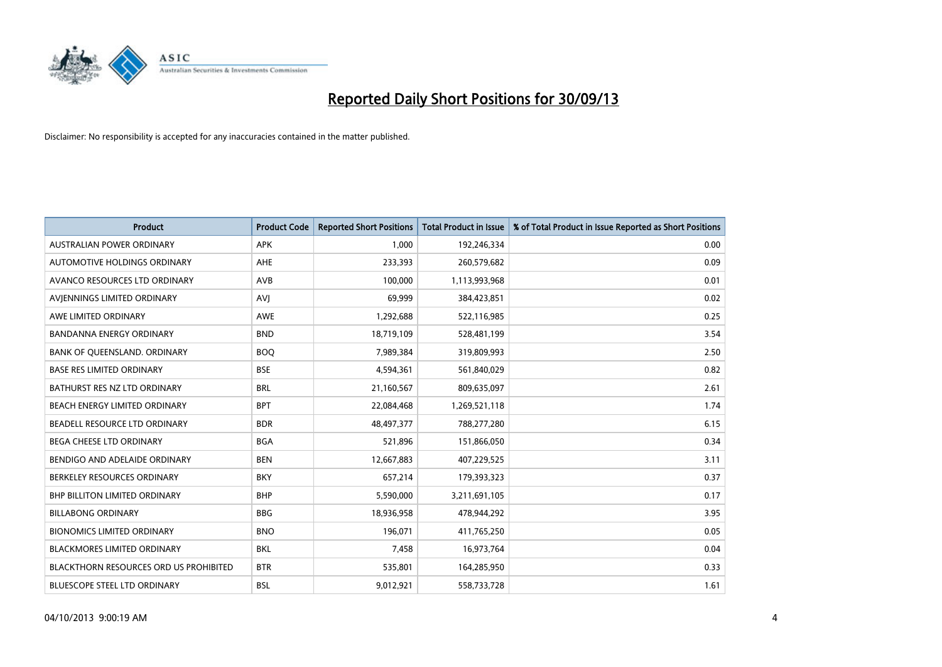

| Product                                       | <b>Product Code</b> | <b>Reported Short Positions</b> | <b>Total Product in Issue</b> | % of Total Product in Issue Reported as Short Positions |
|-----------------------------------------------|---------------------|---------------------------------|-------------------------------|---------------------------------------------------------|
| <b>AUSTRALIAN POWER ORDINARY</b>              | <b>APK</b>          | 1,000                           | 192,246,334                   | 0.00                                                    |
| AUTOMOTIVE HOLDINGS ORDINARY                  | <b>AHE</b>          | 233,393                         | 260,579,682                   | 0.09                                                    |
| AVANCO RESOURCES LTD ORDINARY                 | AVB                 | 100,000                         | 1,113,993,968                 | 0.01                                                    |
| AVIENNINGS LIMITED ORDINARY                   | AVI                 | 69,999                          | 384,423,851                   | 0.02                                                    |
| AWE LIMITED ORDINARY                          | <b>AWE</b>          | 1,292,688                       | 522,116,985                   | 0.25                                                    |
| BANDANNA ENERGY ORDINARY                      | <b>BND</b>          | 18,719,109                      | 528,481,199                   | 3.54                                                    |
| BANK OF QUEENSLAND. ORDINARY                  | <b>BOQ</b>          | 7,989,384                       | 319,809,993                   | 2.50                                                    |
| <b>BASE RES LIMITED ORDINARY</b>              | <b>BSE</b>          | 4,594,361                       | 561,840,029                   | 0.82                                                    |
| BATHURST RES NZ LTD ORDINARY                  | <b>BRL</b>          | 21,160,567                      | 809,635,097                   | 2.61                                                    |
| BEACH ENERGY LIMITED ORDINARY                 | <b>BPT</b>          | 22,084,468                      | 1,269,521,118                 | 1.74                                                    |
| BEADELL RESOURCE LTD ORDINARY                 | <b>BDR</b>          | 48,497,377                      | 788,277,280                   | 6.15                                                    |
| <b>BEGA CHEESE LTD ORDINARY</b>               | <b>BGA</b>          | 521,896                         | 151,866,050                   | 0.34                                                    |
| BENDIGO AND ADELAIDE ORDINARY                 | <b>BEN</b>          | 12,667,883                      | 407,229,525                   | 3.11                                                    |
| BERKELEY RESOURCES ORDINARY                   | <b>BKY</b>          | 657,214                         | 179,393,323                   | 0.37                                                    |
| <b>BHP BILLITON LIMITED ORDINARY</b>          | <b>BHP</b>          | 5,590,000                       | 3,211,691,105                 | 0.17                                                    |
| <b>BILLABONG ORDINARY</b>                     | <b>BBG</b>          | 18,936,958                      | 478,944,292                   | 3.95                                                    |
| <b>BIONOMICS LIMITED ORDINARY</b>             | <b>BNO</b>          | 196,071                         | 411,765,250                   | 0.05                                                    |
| <b>BLACKMORES LIMITED ORDINARY</b>            | <b>BKL</b>          | 7,458                           | 16,973,764                    | 0.04                                                    |
| <b>BLACKTHORN RESOURCES ORD US PROHIBITED</b> | <b>BTR</b>          | 535,801                         | 164,285,950                   | 0.33                                                    |
| BLUESCOPE STEEL LTD ORDINARY                  | <b>BSL</b>          | 9,012,921                       | 558,733,728                   | 1.61                                                    |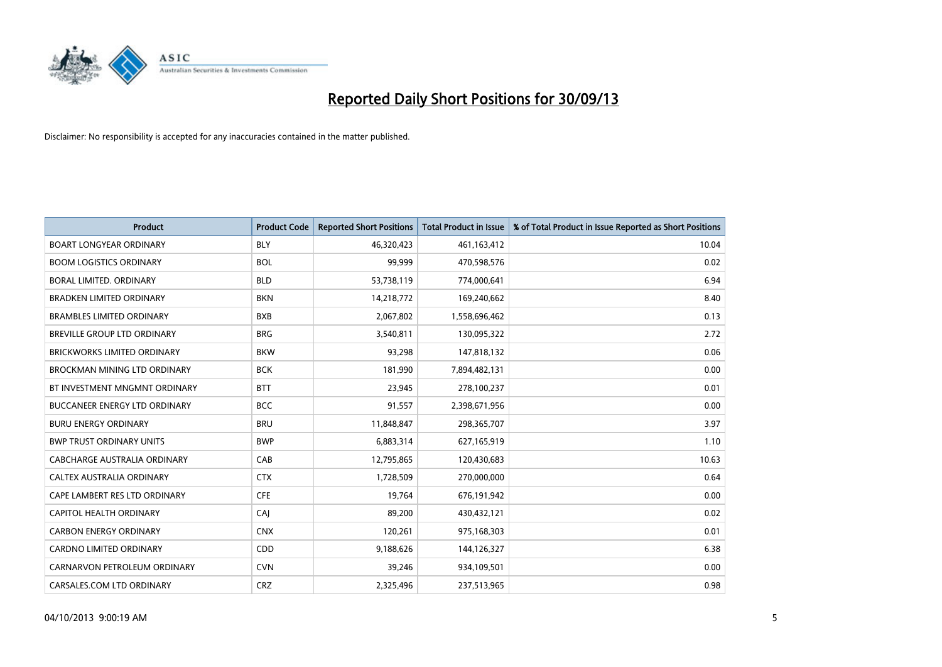

| <b>Product</b>                       | <b>Product Code</b> | <b>Reported Short Positions</b> | <b>Total Product in Issue</b> | % of Total Product in Issue Reported as Short Positions |
|--------------------------------------|---------------------|---------------------------------|-------------------------------|---------------------------------------------------------|
| <b>BOART LONGYEAR ORDINARY</b>       | <b>BLY</b>          | 46,320,423                      | 461,163,412                   | 10.04                                                   |
| <b>BOOM LOGISTICS ORDINARY</b>       | <b>BOL</b>          | 99.999                          | 470,598,576                   | 0.02                                                    |
| <b>BORAL LIMITED, ORDINARY</b>       | <b>BLD</b>          | 53,738,119                      | 774,000,641                   | 6.94                                                    |
| <b>BRADKEN LIMITED ORDINARY</b>      | <b>BKN</b>          | 14,218,772                      | 169,240,662                   | 8.40                                                    |
| <b>BRAMBLES LIMITED ORDINARY</b>     | <b>BXB</b>          | 2,067,802                       | 1,558,696,462                 | 0.13                                                    |
| BREVILLE GROUP LTD ORDINARY          | <b>BRG</b>          | 3,540,811                       | 130,095,322                   | 2.72                                                    |
| BRICKWORKS LIMITED ORDINARY          | <b>BKW</b>          | 93.298                          | 147,818,132                   | 0.06                                                    |
| <b>BROCKMAN MINING LTD ORDINARY</b>  | <b>BCK</b>          | 181,990                         | 7,894,482,131                 | 0.00                                                    |
| BT INVESTMENT MNGMNT ORDINARY        | <b>BTT</b>          | 23,945                          | 278,100,237                   | 0.01                                                    |
| <b>BUCCANEER ENERGY LTD ORDINARY</b> | <b>BCC</b>          | 91,557                          | 2,398,671,956                 | 0.00                                                    |
| <b>BURU ENERGY ORDINARY</b>          | <b>BRU</b>          | 11,848,847                      | 298,365,707                   | 3.97                                                    |
| <b>BWP TRUST ORDINARY UNITS</b>      | <b>BWP</b>          | 6,883,314                       | 627,165,919                   | 1.10                                                    |
| <b>CABCHARGE AUSTRALIA ORDINARY</b>  | CAB                 | 12,795,865                      | 120,430,683                   | 10.63                                                   |
| CALTEX AUSTRALIA ORDINARY            | <b>CTX</b>          | 1,728,509                       | 270,000,000                   | 0.64                                                    |
| CAPE LAMBERT RES LTD ORDINARY        | <b>CFE</b>          | 19,764                          | 676,191,942                   | 0.00                                                    |
| CAPITOL HEALTH ORDINARY              | CAI                 | 89,200                          | 430,432,121                   | 0.02                                                    |
| <b>CARBON ENERGY ORDINARY</b>        | <b>CNX</b>          | 120,261                         | 975,168,303                   | 0.01                                                    |
| CARDNO LIMITED ORDINARY              | CDD                 | 9,188,626                       | 144,126,327                   | 6.38                                                    |
| CARNARVON PETROLEUM ORDINARY         | <b>CVN</b>          | 39,246                          | 934,109,501                   | 0.00                                                    |
| CARSALES.COM LTD ORDINARY            | <b>CRZ</b>          | 2,325,496                       | 237,513,965                   | 0.98                                                    |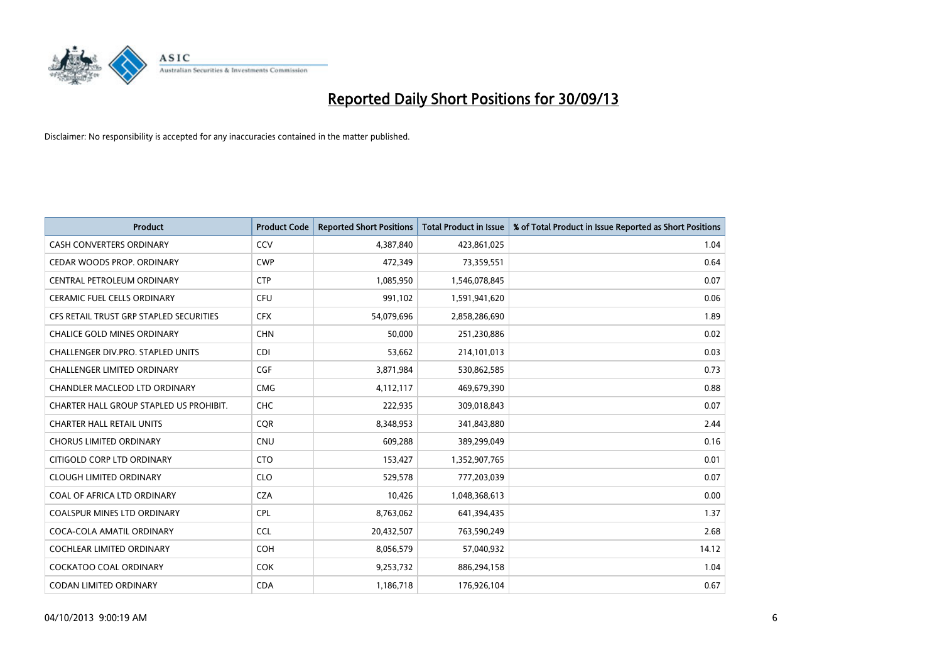

| <b>Product</b>                           | <b>Product Code</b> | <b>Reported Short Positions</b> | <b>Total Product in Issue</b> | % of Total Product in Issue Reported as Short Positions |
|------------------------------------------|---------------------|---------------------------------|-------------------------------|---------------------------------------------------------|
| <b>CASH CONVERTERS ORDINARY</b>          | CCV                 | 4,387,840                       | 423,861,025                   | 1.04                                                    |
| CEDAR WOODS PROP. ORDINARY               | <b>CWP</b>          | 472,349                         | 73,359,551                    | 0.64                                                    |
| CENTRAL PETROLEUM ORDINARY               | <b>CTP</b>          | 1,085,950                       | 1,546,078,845                 | 0.07                                                    |
| <b>CERAMIC FUEL CELLS ORDINARY</b>       | <b>CFU</b>          | 991,102                         | 1,591,941,620                 | 0.06                                                    |
| CFS RETAIL TRUST GRP STAPLED SECURITIES  | <b>CFX</b>          | 54,079,696                      | 2,858,286,690                 | 1.89                                                    |
| <b>CHALICE GOLD MINES ORDINARY</b>       | <b>CHN</b>          | 50,000                          | 251,230,886                   | 0.02                                                    |
| <b>CHALLENGER DIV.PRO. STAPLED UNITS</b> | <b>CDI</b>          | 53,662                          | 214,101,013                   | 0.03                                                    |
| CHALLENGER LIMITED ORDINARY              | <b>CGF</b>          | 3,871,984                       | 530,862,585                   | 0.73                                                    |
| CHANDLER MACLEOD LTD ORDINARY            | <b>CMG</b>          | 4,112,117                       | 469,679,390                   | 0.88                                                    |
| CHARTER HALL GROUP STAPLED US PROHIBIT.  | <b>CHC</b>          | 222,935                         | 309,018,843                   | 0.07                                                    |
| <b>CHARTER HALL RETAIL UNITS</b>         | <b>CQR</b>          | 8,348,953                       | 341,843,880                   | 2.44                                                    |
| <b>CHORUS LIMITED ORDINARY</b>           | <b>CNU</b>          | 609,288                         | 389,299,049                   | 0.16                                                    |
| CITIGOLD CORP LTD ORDINARY               | <b>CTO</b>          | 153,427                         | 1,352,907,765                 | 0.01                                                    |
| <b>CLOUGH LIMITED ORDINARY</b>           | <b>CLO</b>          | 529,578                         | 777,203,039                   | 0.07                                                    |
| COAL OF AFRICA LTD ORDINARY              | <b>CZA</b>          | 10,426                          | 1,048,368,613                 | 0.00                                                    |
| COALSPUR MINES LTD ORDINARY              | <b>CPL</b>          | 8,763,062                       | 641,394,435                   | 1.37                                                    |
| COCA-COLA AMATIL ORDINARY                | <b>CCL</b>          | 20,432,507                      | 763,590,249                   | 2.68                                                    |
| COCHLEAR LIMITED ORDINARY                | <b>COH</b>          | 8,056,579                       | 57,040,932                    | 14.12                                                   |
| <b>COCKATOO COAL ORDINARY</b>            | <b>COK</b>          | 9,253,732                       | 886,294,158                   | 1.04                                                    |
| CODAN LIMITED ORDINARY                   | <b>CDA</b>          | 1,186,718                       | 176,926,104                   | 0.67                                                    |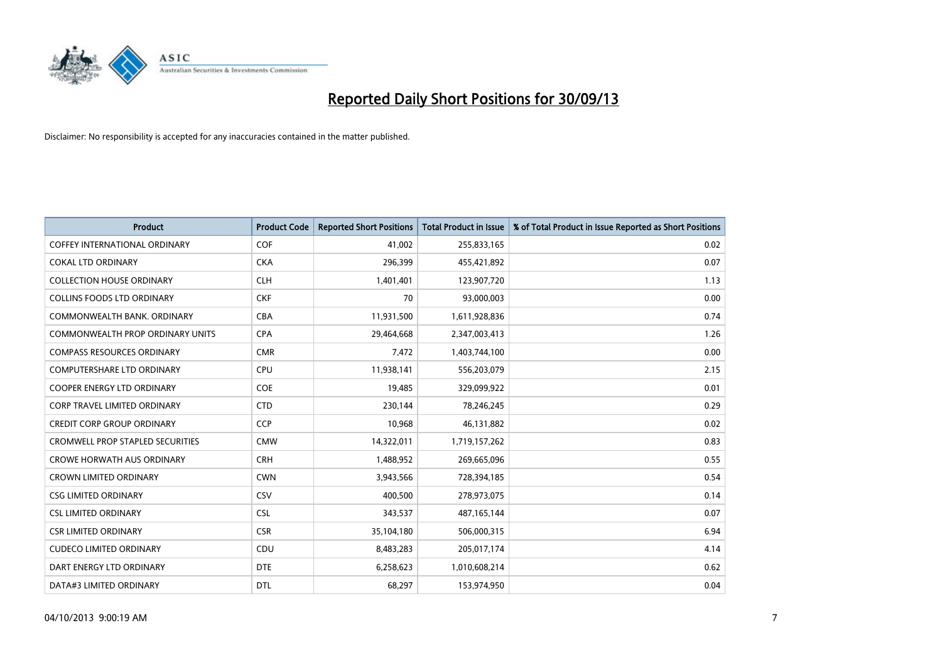

| <b>Product</b>                          | <b>Product Code</b> | <b>Reported Short Positions</b> | <b>Total Product in Issue</b> | % of Total Product in Issue Reported as Short Positions |
|-----------------------------------------|---------------------|---------------------------------|-------------------------------|---------------------------------------------------------|
| COFFEY INTERNATIONAL ORDINARY           | <b>COF</b>          | 41,002                          | 255,833,165                   | 0.02                                                    |
| <b>COKAL LTD ORDINARY</b>               | <b>CKA</b>          | 296,399                         | 455,421,892                   | 0.07                                                    |
| <b>COLLECTION HOUSE ORDINARY</b>        | <b>CLH</b>          | 1,401,401                       | 123,907,720                   | 1.13                                                    |
| <b>COLLINS FOODS LTD ORDINARY</b>       | <b>CKF</b>          | 70                              | 93,000,003                    | 0.00                                                    |
| COMMONWEALTH BANK, ORDINARY             | <b>CBA</b>          | 11,931,500                      | 1,611,928,836                 | 0.74                                                    |
| COMMONWEALTH PROP ORDINARY UNITS        | <b>CPA</b>          | 29,464,668                      | 2,347,003,413                 | 1.26                                                    |
| <b>COMPASS RESOURCES ORDINARY</b>       | <b>CMR</b>          | 7,472                           | 1,403,744,100                 | 0.00                                                    |
| <b>COMPUTERSHARE LTD ORDINARY</b>       | <b>CPU</b>          | 11,938,141                      | 556,203,079                   | 2.15                                                    |
| COOPER ENERGY LTD ORDINARY              | <b>COE</b>          | 19,485                          | 329,099,922                   | 0.01                                                    |
| CORP TRAVEL LIMITED ORDINARY            | <b>CTD</b>          | 230,144                         | 78,246,245                    | 0.29                                                    |
| <b>CREDIT CORP GROUP ORDINARY</b>       | <b>CCP</b>          | 10,968                          | 46,131,882                    | 0.02                                                    |
| <b>CROMWELL PROP STAPLED SECURITIES</b> | <b>CMW</b>          | 14,322,011                      | 1,719,157,262                 | 0.83                                                    |
| <b>CROWE HORWATH AUS ORDINARY</b>       | <b>CRH</b>          | 1,488,952                       | 269,665,096                   | 0.55                                                    |
| <b>CROWN LIMITED ORDINARY</b>           | <b>CWN</b>          | 3,943,566                       | 728,394,185                   | 0.54                                                    |
| <b>CSG LIMITED ORDINARY</b>             | CSV                 | 400,500                         | 278,973,075                   | 0.14                                                    |
| <b>CSL LIMITED ORDINARY</b>             | <b>CSL</b>          | 343,537                         | 487, 165, 144                 | 0.07                                                    |
| <b>CSR LIMITED ORDINARY</b>             | <b>CSR</b>          | 35,104,180                      | 506,000,315                   | 6.94                                                    |
| <b>CUDECO LIMITED ORDINARY</b>          | <b>CDU</b>          | 8,483,283                       | 205,017,174                   | 4.14                                                    |
| DART ENERGY LTD ORDINARY                | <b>DTE</b>          | 6,258,623                       | 1,010,608,214                 | 0.62                                                    |
| DATA#3 LIMITED ORDINARY                 | <b>DTL</b>          | 68,297                          | 153,974,950                   | 0.04                                                    |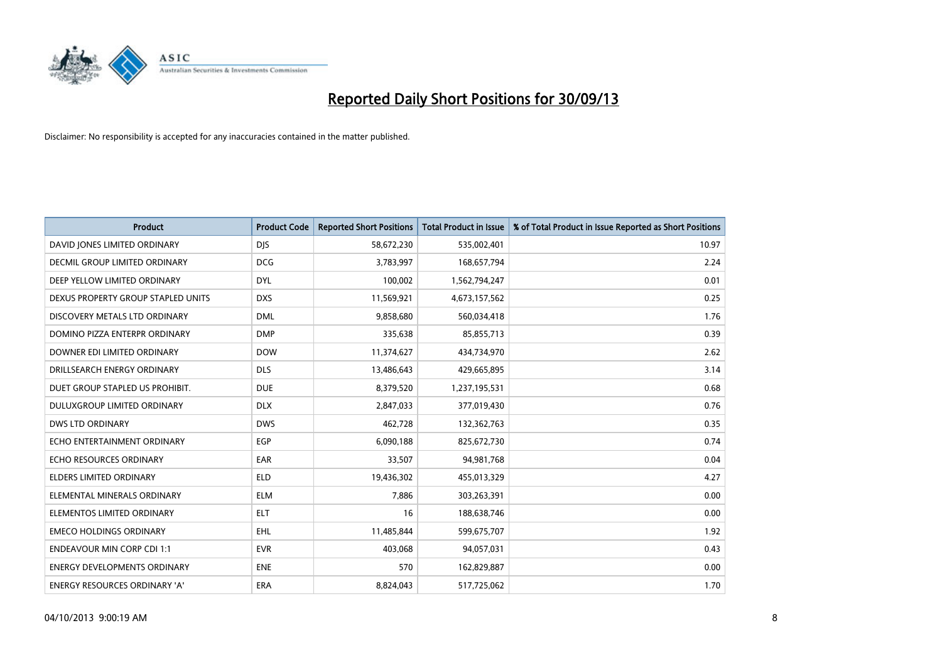

| <b>Product</b>                      | <b>Product Code</b> | <b>Reported Short Positions</b> | <b>Total Product in Issue</b> | % of Total Product in Issue Reported as Short Positions |
|-------------------------------------|---------------------|---------------------------------|-------------------------------|---------------------------------------------------------|
| DAVID JONES LIMITED ORDINARY        | <b>DJS</b>          | 58,672,230                      | 535,002,401                   | 10.97                                                   |
| DECMIL GROUP LIMITED ORDINARY       | <b>DCG</b>          | 3,783,997                       | 168,657,794                   | 2.24                                                    |
| DEEP YELLOW LIMITED ORDINARY        | <b>DYL</b>          | 100,002                         | 1,562,794,247                 | 0.01                                                    |
| DEXUS PROPERTY GROUP STAPLED UNITS  | <b>DXS</b>          | 11,569,921                      | 4,673,157,562                 | 0.25                                                    |
| DISCOVERY METALS LTD ORDINARY       | <b>DML</b>          | 9,858,680                       | 560,034,418                   | 1.76                                                    |
| DOMINO PIZZA ENTERPR ORDINARY       | <b>DMP</b>          | 335,638                         | 85,855,713                    | 0.39                                                    |
| DOWNER EDI LIMITED ORDINARY         | <b>DOW</b>          | 11,374,627                      | 434,734,970                   | 2.62                                                    |
| DRILLSEARCH ENERGY ORDINARY         | <b>DLS</b>          | 13,486,643                      | 429,665,895                   | 3.14                                                    |
| DUET GROUP STAPLED US PROHIBIT.     | <b>DUE</b>          | 8,379,520                       | 1,237,195,531                 | 0.68                                                    |
| DULUXGROUP LIMITED ORDINARY         | <b>DLX</b>          | 2,847,033                       | 377,019,430                   | 0.76                                                    |
| <b>DWS LTD ORDINARY</b>             | <b>DWS</b>          | 462,728                         | 132,362,763                   | 0.35                                                    |
| ECHO ENTERTAINMENT ORDINARY         | <b>EGP</b>          | 6,090,188                       | 825,672,730                   | 0.74                                                    |
| ECHO RESOURCES ORDINARY             | EAR                 | 33,507                          | 94, 981, 768                  | 0.04                                                    |
| <b>ELDERS LIMITED ORDINARY</b>      | <b>ELD</b>          | 19,436,302                      | 455,013,329                   | 4.27                                                    |
| ELEMENTAL MINERALS ORDINARY         | <b>ELM</b>          | 7,886                           | 303,263,391                   | 0.00                                                    |
| ELEMENTOS LIMITED ORDINARY          | ELT                 | 16                              | 188,638,746                   | 0.00                                                    |
| <b>EMECO HOLDINGS ORDINARY</b>      | EHL                 | 11,485,844                      | 599,675,707                   | 1.92                                                    |
| <b>ENDEAVOUR MIN CORP CDI 1:1</b>   | <b>EVR</b>          | 403,068                         | 94,057,031                    | 0.43                                                    |
| <b>ENERGY DEVELOPMENTS ORDINARY</b> | <b>ENE</b>          | 570                             | 162,829,887                   | 0.00                                                    |
| ENERGY RESOURCES ORDINARY 'A'       | ERA                 | 8,824,043                       | 517,725,062                   | 1.70                                                    |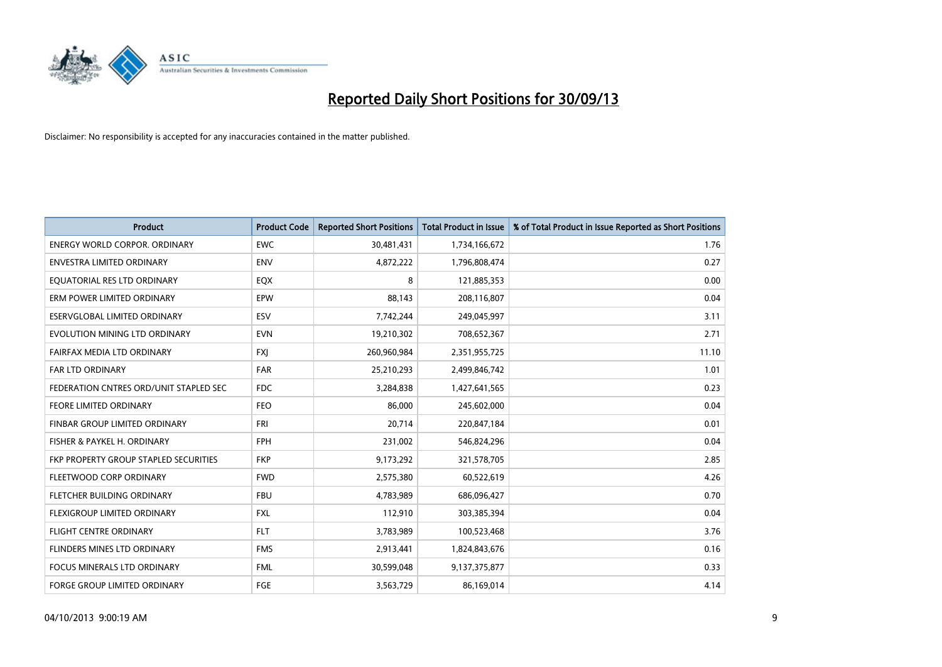

| <b>Product</b>                         | <b>Product Code</b> | <b>Reported Short Positions</b> | <b>Total Product in Issue</b> | % of Total Product in Issue Reported as Short Positions |
|----------------------------------------|---------------------|---------------------------------|-------------------------------|---------------------------------------------------------|
| <b>ENERGY WORLD CORPOR, ORDINARY</b>   | <b>EWC</b>          | 30,481,431                      | 1,734,166,672                 | 1.76                                                    |
| <b>ENVESTRA LIMITED ORDINARY</b>       | <b>ENV</b>          | 4,872,222                       | 1,796,808,474                 | 0.27                                                    |
| EQUATORIAL RES LTD ORDINARY            | EQX                 | 8                               | 121,885,353                   | 0.00                                                    |
| ERM POWER LIMITED ORDINARY             | EPW                 | 88,143                          | 208,116,807                   | 0.04                                                    |
| ESERVGLOBAL LIMITED ORDINARY           | ESV                 | 7,742,244                       | 249,045,997                   | 3.11                                                    |
| EVOLUTION MINING LTD ORDINARY          | <b>EVN</b>          | 19,210,302                      | 708,652,367                   | 2.71                                                    |
| FAIRFAX MEDIA LTD ORDINARY             | <b>FXI</b>          | 260,960,984                     | 2,351,955,725                 | 11.10                                                   |
| FAR LTD ORDINARY                       | <b>FAR</b>          | 25,210,293                      | 2,499,846,742                 | 1.01                                                    |
| FEDERATION CNTRES ORD/UNIT STAPLED SEC | <b>FDC</b>          | 3,284,838                       | 1,427,641,565                 | 0.23                                                    |
| <b>FEORE LIMITED ORDINARY</b>          | <b>FEO</b>          | 86,000                          | 245,602,000                   | 0.04                                                    |
| FINBAR GROUP LIMITED ORDINARY          | <b>FRI</b>          | 20,714                          | 220,847,184                   | 0.01                                                    |
| FISHER & PAYKEL H. ORDINARY            | <b>FPH</b>          | 231,002                         | 546,824,296                   | 0.04                                                    |
| FKP PROPERTY GROUP STAPLED SECURITIES  | <b>FKP</b>          | 9,173,292                       | 321,578,705                   | 2.85                                                    |
| FLEETWOOD CORP ORDINARY                | <b>FWD</b>          | 2,575,380                       | 60,522,619                    | 4.26                                                    |
| FLETCHER BUILDING ORDINARY             | <b>FBU</b>          | 4,783,989                       | 686,096,427                   | 0.70                                                    |
| FLEXIGROUP LIMITED ORDINARY            | <b>FXL</b>          | 112,910                         | 303,385,394                   | 0.04                                                    |
| FLIGHT CENTRE ORDINARY                 | <b>FLT</b>          | 3,783,989                       | 100,523,468                   | 3.76                                                    |
| FLINDERS MINES LTD ORDINARY            | <b>FMS</b>          | 2,913,441                       | 1,824,843,676                 | 0.16                                                    |
| <b>FOCUS MINERALS LTD ORDINARY</b>     | <b>FML</b>          | 30,599,048                      | 9,137,375,877                 | 0.33                                                    |
| <b>FORGE GROUP LIMITED ORDINARY</b>    | FGE                 | 3,563,729                       | 86,169,014                    | 4.14                                                    |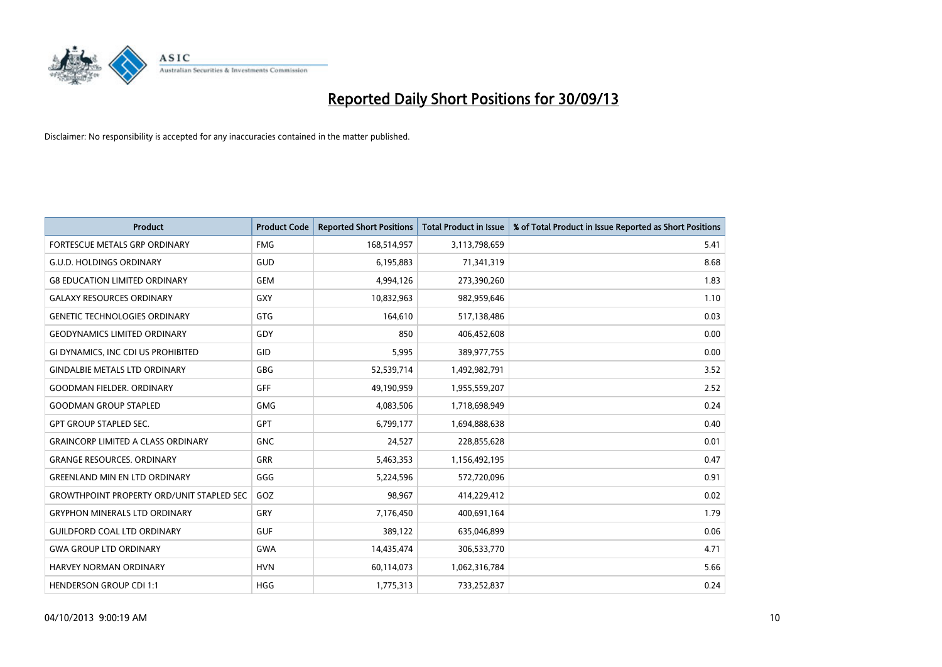

| <b>Product</b>                                   | <b>Product Code</b> | <b>Reported Short Positions</b> | <b>Total Product in Issue</b> | % of Total Product in Issue Reported as Short Positions |
|--------------------------------------------------|---------------------|---------------------------------|-------------------------------|---------------------------------------------------------|
| FORTESCUE METALS GRP ORDINARY                    | <b>FMG</b>          | 168,514,957                     | 3,113,798,659                 | 5.41                                                    |
| <b>G.U.D. HOLDINGS ORDINARY</b>                  | GUD                 | 6,195,883                       | 71,341,319                    | 8.68                                                    |
| <b>G8 EDUCATION LIMITED ORDINARY</b>             | <b>GEM</b>          | 4,994,126                       | 273,390,260                   | 1.83                                                    |
| <b>GALAXY RESOURCES ORDINARY</b>                 | <b>GXY</b>          | 10,832,963                      | 982,959,646                   | 1.10                                                    |
| <b>GENETIC TECHNOLOGIES ORDINARY</b>             | GTG                 | 164,610                         | 517,138,486                   | 0.03                                                    |
| <b>GEODYNAMICS LIMITED ORDINARY</b>              | GDY                 | 850                             | 406,452,608                   | 0.00                                                    |
| GI DYNAMICS, INC CDI US PROHIBITED               | GID                 | 5,995                           | 389,977,755                   | 0.00                                                    |
| <b>GINDALBIE METALS LTD ORDINARY</b>             | GBG                 | 52,539,714                      | 1,492,982,791                 | 3.52                                                    |
| <b>GOODMAN FIELDER, ORDINARY</b>                 | GFF                 | 49,190,959                      | 1,955,559,207                 | 2.52                                                    |
| <b>GOODMAN GROUP STAPLED</b>                     | <b>GMG</b>          | 4,083,506                       | 1,718,698,949                 | 0.24                                                    |
| <b>GPT GROUP STAPLED SEC.</b>                    | GPT                 | 6,799,177                       | 1,694,888,638                 | 0.40                                                    |
| <b>GRAINCORP LIMITED A CLASS ORDINARY</b>        | <b>GNC</b>          | 24,527                          | 228,855,628                   | 0.01                                                    |
| <b>GRANGE RESOURCES. ORDINARY</b>                | <b>GRR</b>          | 5,463,353                       | 1,156,492,195                 | 0.47                                                    |
| <b>GREENLAND MIN EN LTD ORDINARY</b>             | GGG                 | 5,224,596                       | 572,720,096                   | 0.91                                                    |
| <b>GROWTHPOINT PROPERTY ORD/UNIT STAPLED SEC</b> | GOZ                 | 98,967                          | 414,229,412                   | 0.02                                                    |
| <b>GRYPHON MINERALS LTD ORDINARY</b>             | GRY                 | 7,176,450                       | 400,691,164                   | 1.79                                                    |
| <b>GUILDFORD COAL LTD ORDINARY</b>               | <b>GUF</b>          | 389,122                         | 635,046,899                   | 0.06                                                    |
| <b>GWA GROUP LTD ORDINARY</b>                    | <b>GWA</b>          | 14,435,474                      | 306,533,770                   | 4.71                                                    |
| <b>HARVEY NORMAN ORDINARY</b>                    | <b>HVN</b>          | 60,114,073                      | 1,062,316,784                 | 5.66                                                    |
| <b>HENDERSON GROUP CDI 1:1</b>                   | <b>HGG</b>          | 1,775,313                       | 733,252,837                   | 0.24                                                    |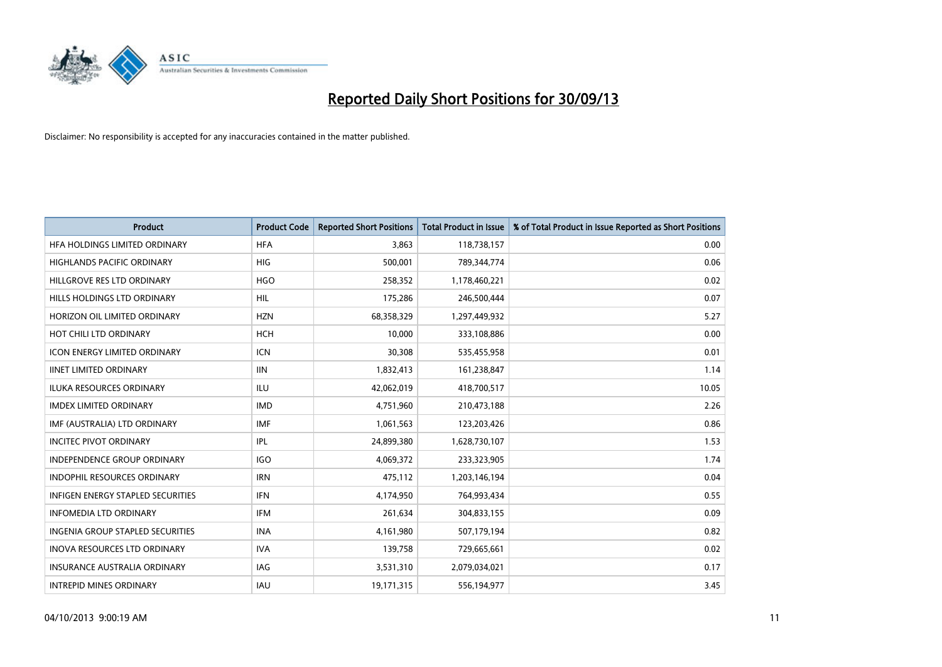

| <b>Product</b>                           | <b>Product Code</b> | <b>Reported Short Positions</b> | <b>Total Product in Issue</b> | % of Total Product in Issue Reported as Short Positions |
|------------------------------------------|---------------------|---------------------------------|-------------------------------|---------------------------------------------------------|
| HFA HOLDINGS LIMITED ORDINARY            | <b>HFA</b>          | 3.863                           | 118,738,157                   | 0.00                                                    |
| HIGHLANDS PACIFIC ORDINARY               | <b>HIG</b>          | 500,001                         | 789,344,774                   | 0.06                                                    |
| HILLGROVE RES LTD ORDINARY               | <b>HGO</b>          | 258,352                         | 1,178,460,221                 | 0.02                                                    |
| HILLS HOLDINGS LTD ORDINARY              | <b>HIL</b>          | 175,286                         | 246,500,444                   | 0.07                                                    |
| HORIZON OIL LIMITED ORDINARY             | <b>HZN</b>          | 68,358,329                      | 1,297,449,932                 | 5.27                                                    |
| HOT CHILI LTD ORDINARY                   | <b>HCH</b>          | 10,000                          | 333,108,886                   | 0.00                                                    |
| <b>ICON ENERGY LIMITED ORDINARY</b>      | <b>ICN</b>          | 30,308                          | 535,455,958                   | 0.01                                                    |
| <b>IINET LIMITED ORDINARY</b>            | <b>IIN</b>          | 1,832,413                       | 161,238,847                   | 1.14                                                    |
| <b>ILUKA RESOURCES ORDINARY</b>          | <b>ILU</b>          | 42,062,019                      | 418,700,517                   | 10.05                                                   |
| <b>IMDEX LIMITED ORDINARY</b>            | <b>IMD</b>          | 4,751,960                       | 210,473,188                   | 2.26                                                    |
| IMF (AUSTRALIA) LTD ORDINARY             | <b>IMF</b>          | 1,061,563                       | 123,203,426                   | 0.86                                                    |
| <b>INCITEC PIVOT ORDINARY</b>            | <b>IPL</b>          | 24,899,380                      | 1,628,730,107                 | 1.53                                                    |
| INDEPENDENCE GROUP ORDINARY              | <b>IGO</b>          | 4,069,372                       | 233,323,905                   | 1.74                                                    |
| <b>INDOPHIL RESOURCES ORDINARY</b>       | <b>IRN</b>          | 475,112                         | 1,203,146,194                 | 0.04                                                    |
| <b>INFIGEN ENERGY STAPLED SECURITIES</b> | <b>IFN</b>          | 4,174,950                       | 764,993,434                   | 0.55                                                    |
| <b>INFOMEDIA LTD ORDINARY</b>            | <b>IFM</b>          | 261,634                         | 304,833,155                   | 0.09                                                    |
| INGENIA GROUP STAPLED SECURITIES         | <b>INA</b>          | 4,161,980                       | 507,179,194                   | 0.82                                                    |
| INOVA RESOURCES LTD ORDINARY             | <b>IVA</b>          | 139,758                         | 729,665,661                   | 0.02                                                    |
| <b>INSURANCE AUSTRALIA ORDINARY</b>      | <b>IAG</b>          | 3,531,310                       | 2,079,034,021                 | 0.17                                                    |
| <b>INTREPID MINES ORDINARY</b>           | <b>IAU</b>          | 19,171,315                      | 556,194,977                   | 3.45                                                    |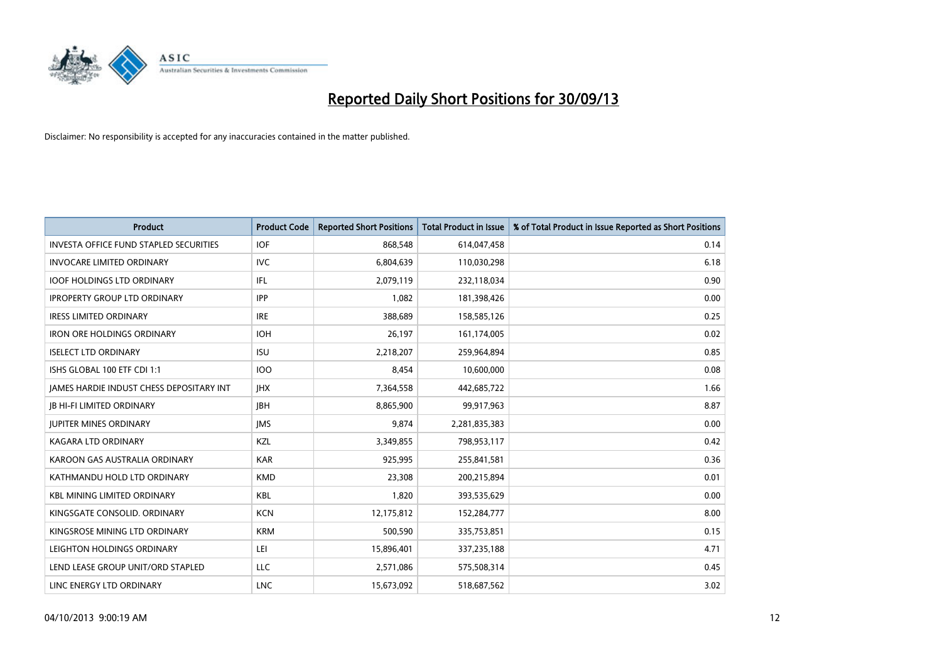

| <b>Product</b>                                | <b>Product Code</b> | <b>Reported Short Positions</b> | <b>Total Product in Issue</b> | % of Total Product in Issue Reported as Short Positions |
|-----------------------------------------------|---------------------|---------------------------------|-------------------------------|---------------------------------------------------------|
| <b>INVESTA OFFICE FUND STAPLED SECURITIES</b> | <b>IOF</b>          | 868,548                         | 614,047,458                   | 0.14                                                    |
| <b>INVOCARE LIMITED ORDINARY</b>              | IVC.                | 6,804,639                       | 110,030,298                   | 6.18                                                    |
| <b>IOOF HOLDINGS LTD ORDINARY</b>             | IFL                 | 2,079,119                       | 232,118,034                   | 0.90                                                    |
| <b>IPROPERTY GROUP LTD ORDINARY</b>           | <b>IPP</b>          | 1,082                           | 181,398,426                   | 0.00                                                    |
| <b>IRESS LIMITED ORDINARY</b>                 | <b>IRE</b>          | 388,689                         | 158,585,126                   | 0.25                                                    |
| <b>IRON ORE HOLDINGS ORDINARY</b>             | <b>IOH</b>          | 26,197                          | 161,174,005                   | 0.02                                                    |
| <b>ISELECT LTD ORDINARY</b>                   | <b>ISU</b>          | 2,218,207                       | 259,964,894                   | 0.85                                                    |
| ISHS GLOBAL 100 ETF CDI 1:1                   | <b>IOO</b>          | 8,454                           | 10,600,000                    | 0.08                                                    |
| JAMES HARDIE INDUST CHESS DEPOSITARY INT      | <b>IHX</b>          | 7,364,558                       | 442,685,722                   | 1.66                                                    |
| <b>JB HI-FI LIMITED ORDINARY</b>              | <b>IBH</b>          | 8,865,900                       | 99,917,963                    | 8.87                                                    |
| <b>JUPITER MINES ORDINARY</b>                 | <b>IMS</b>          | 9,874                           | 2,281,835,383                 | 0.00                                                    |
| <b>KAGARA LTD ORDINARY</b>                    | KZL                 | 3,349,855                       | 798,953,117                   | 0.42                                                    |
| KAROON GAS AUSTRALIA ORDINARY                 | <b>KAR</b>          | 925,995                         | 255,841,581                   | 0.36                                                    |
| KATHMANDU HOLD LTD ORDINARY                   | <b>KMD</b>          | 23,308                          | 200,215,894                   | 0.01                                                    |
| <b>KBL MINING LIMITED ORDINARY</b>            | <b>KBL</b>          | 1,820                           | 393,535,629                   | 0.00                                                    |
| KINGSGATE CONSOLID. ORDINARY                  | <b>KCN</b>          | 12,175,812                      | 152,284,777                   | 8.00                                                    |
| KINGSROSE MINING LTD ORDINARY                 | <b>KRM</b>          | 500,590                         | 335,753,851                   | 0.15                                                    |
| LEIGHTON HOLDINGS ORDINARY                    | LEI                 | 15,896,401                      | 337,235,188                   | 4.71                                                    |
| LEND LEASE GROUP UNIT/ORD STAPLED             | LLC                 | 2,571,086                       | 575,508,314                   | 0.45                                                    |
| LINC ENERGY LTD ORDINARY                      | <b>LNC</b>          | 15,673,092                      | 518,687,562                   | 3.02                                                    |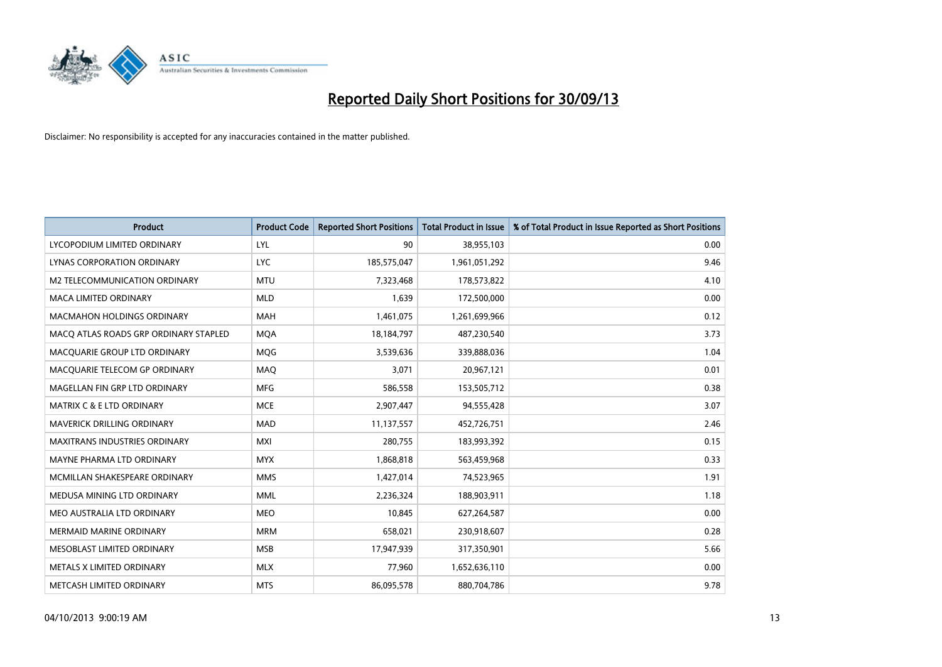

| <b>Product</b>                        | <b>Product Code</b> | <b>Reported Short Positions</b> | <b>Total Product in Issue</b> | % of Total Product in Issue Reported as Short Positions |
|---------------------------------------|---------------------|---------------------------------|-------------------------------|---------------------------------------------------------|
| LYCOPODIUM LIMITED ORDINARY           | <b>LYL</b>          | 90                              | 38,955,103                    | 0.00                                                    |
| LYNAS CORPORATION ORDINARY            | <b>LYC</b>          | 185,575,047                     | 1,961,051,292                 | 9.46                                                    |
| M2 TELECOMMUNICATION ORDINARY         | <b>MTU</b>          | 7,323,468                       | 178,573,822                   | 4.10                                                    |
| MACA LIMITED ORDINARY                 | <b>MLD</b>          | 1,639                           | 172,500,000                   | 0.00                                                    |
| <b>MACMAHON HOLDINGS ORDINARY</b>     | <b>MAH</b>          | 1,461,075                       | 1,261,699,966                 | 0.12                                                    |
| MACO ATLAS ROADS GRP ORDINARY STAPLED | <b>MQA</b>          | 18,184,797                      | 487,230,540                   | 3.73                                                    |
| MACQUARIE GROUP LTD ORDINARY          | MQG                 | 3,539,636                       | 339,888,036                   | 1.04                                                    |
| MACQUARIE TELECOM GP ORDINARY         | MAQ                 | 3,071                           | 20,967,121                    | 0.01                                                    |
| MAGELLAN FIN GRP LTD ORDINARY         | <b>MFG</b>          | 586,558                         | 153,505,712                   | 0.38                                                    |
| <b>MATRIX C &amp; E LTD ORDINARY</b>  | <b>MCE</b>          | 2,907,447                       | 94,555,428                    | 3.07                                                    |
| MAVERICK DRILLING ORDINARY            | <b>MAD</b>          | 11,137,557                      | 452,726,751                   | 2.46                                                    |
| <b>MAXITRANS INDUSTRIES ORDINARY</b>  | <b>MXI</b>          | 280,755                         | 183,993,392                   | 0.15                                                    |
| MAYNE PHARMA LTD ORDINARY             | <b>MYX</b>          | 1,868,818                       | 563,459,968                   | 0.33                                                    |
| MCMILLAN SHAKESPEARE ORDINARY         | <b>MMS</b>          | 1,427,014                       | 74,523,965                    | 1.91                                                    |
| MEDUSA MINING LTD ORDINARY            | <b>MML</b>          | 2,236,324                       | 188,903,911                   | 1.18                                                    |
| MEO AUSTRALIA LTD ORDINARY            | <b>MEO</b>          | 10,845                          | 627,264,587                   | 0.00                                                    |
| <b>MERMAID MARINE ORDINARY</b>        | <b>MRM</b>          | 658,021                         | 230,918,607                   | 0.28                                                    |
| MESOBLAST LIMITED ORDINARY            | <b>MSB</b>          | 17,947,939                      | 317,350,901                   | 5.66                                                    |
| METALS X LIMITED ORDINARY             | <b>MLX</b>          | 77,960                          | 1,652,636,110                 | 0.00                                                    |
| METCASH LIMITED ORDINARY              | <b>MTS</b>          | 86,095,578                      | 880,704,786                   | 9.78                                                    |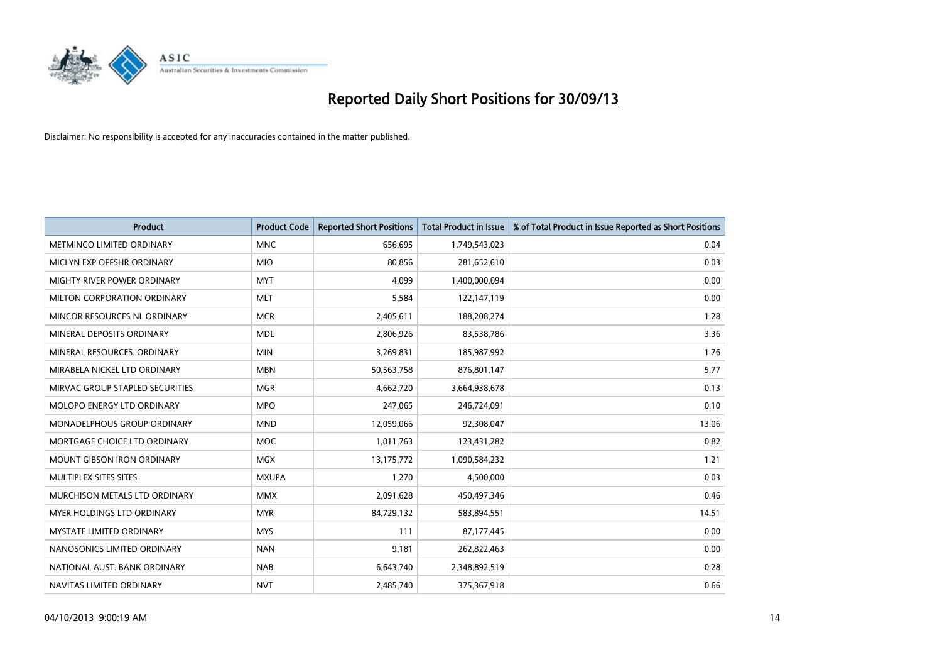

| <b>Product</b>                     | <b>Product Code</b> | <b>Reported Short Positions</b> | <b>Total Product in Issue</b> | % of Total Product in Issue Reported as Short Positions |
|------------------------------------|---------------------|---------------------------------|-------------------------------|---------------------------------------------------------|
| METMINCO LIMITED ORDINARY          | <b>MNC</b>          | 656,695                         | 1,749,543,023                 | 0.04                                                    |
| MICLYN EXP OFFSHR ORDINARY         | <b>MIO</b>          | 80,856                          | 281,652,610                   | 0.03                                                    |
| MIGHTY RIVER POWER ORDINARY        | <b>MYT</b>          | 4,099                           | 1,400,000,094                 | 0.00                                                    |
| MILTON CORPORATION ORDINARY        | <b>MLT</b>          | 5,584                           | 122,147,119                   | 0.00                                                    |
| MINCOR RESOURCES NL ORDINARY       | <b>MCR</b>          | 2,405,611                       | 188,208,274                   | 1.28                                                    |
| MINERAL DEPOSITS ORDINARY          | <b>MDL</b>          | 2,806,926                       | 83,538,786                    | 3.36                                                    |
| MINERAL RESOURCES, ORDINARY        | <b>MIN</b>          | 3,269,831                       | 185,987,992                   | 1.76                                                    |
| MIRABELA NICKEL LTD ORDINARY       | <b>MBN</b>          | 50,563,758                      | 876,801,147                   | 5.77                                                    |
| MIRVAC GROUP STAPLED SECURITIES    | <b>MGR</b>          | 4,662,720                       | 3,664,938,678                 | 0.13                                                    |
| MOLOPO ENERGY LTD ORDINARY         | <b>MPO</b>          | 247,065                         | 246,724,091                   | 0.10                                                    |
| <b>MONADELPHOUS GROUP ORDINARY</b> | <b>MND</b>          | 12,059,066                      | 92,308,047                    | 13.06                                                   |
| MORTGAGE CHOICE LTD ORDINARY       | MOC                 | 1,011,763                       | 123,431,282                   | 0.82                                                    |
| MOUNT GIBSON IRON ORDINARY         | <b>MGX</b>          | 13,175,772                      | 1,090,584,232                 | 1.21                                                    |
| MULTIPLEX SITES SITES              | <b>MXUPA</b>        | 1,270                           | 4,500,000                     | 0.03                                                    |
| MURCHISON METALS LTD ORDINARY      | <b>MMX</b>          | 2,091,628                       | 450,497,346                   | 0.46                                                    |
| <b>MYER HOLDINGS LTD ORDINARY</b>  | <b>MYR</b>          | 84,729,132                      | 583,894,551                   | 14.51                                                   |
| <b>MYSTATE LIMITED ORDINARY</b>    | <b>MYS</b>          | 111                             | 87,177,445                    | 0.00                                                    |
| NANOSONICS LIMITED ORDINARY        | <b>NAN</b>          | 9,181                           | 262,822,463                   | 0.00                                                    |
| NATIONAL AUST, BANK ORDINARY       | <b>NAB</b>          | 6,643,740                       | 2,348,892,519                 | 0.28                                                    |
| NAVITAS LIMITED ORDINARY           | <b>NVT</b>          | 2,485,740                       | 375,367,918                   | 0.66                                                    |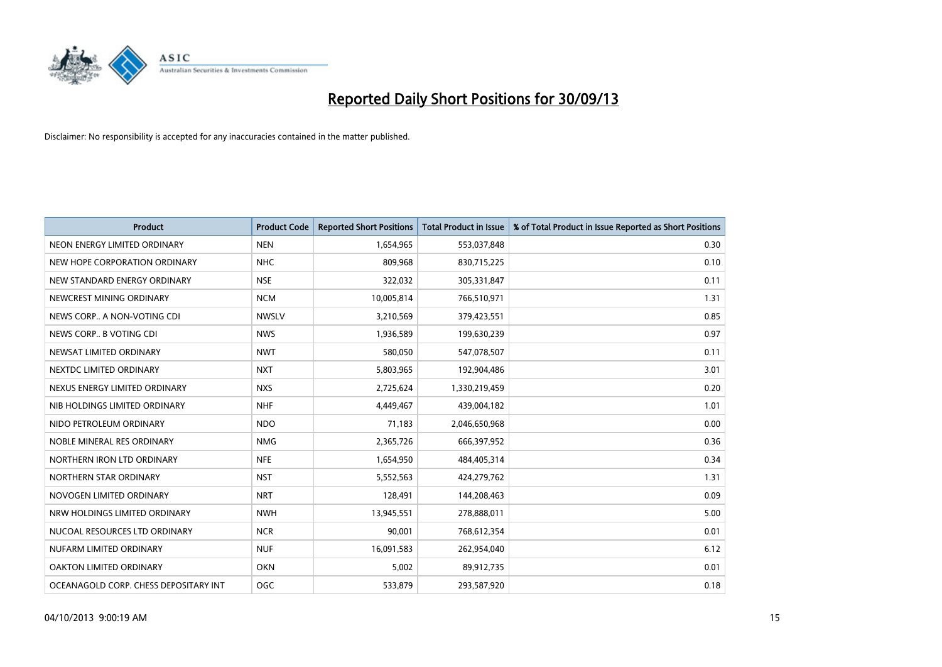

| <b>Product</b>                        | <b>Product Code</b> | <b>Reported Short Positions</b> | <b>Total Product in Issue</b> | % of Total Product in Issue Reported as Short Positions |
|---------------------------------------|---------------------|---------------------------------|-------------------------------|---------------------------------------------------------|
| NEON ENERGY LIMITED ORDINARY          | <b>NEN</b>          | 1,654,965                       | 553,037,848                   | 0.30                                                    |
| NEW HOPE CORPORATION ORDINARY         | <b>NHC</b>          | 809,968                         | 830,715,225                   | 0.10                                                    |
| NEW STANDARD ENERGY ORDINARY          | <b>NSE</b>          | 322,032                         | 305,331,847                   | 0.11                                                    |
| NEWCREST MINING ORDINARY              | <b>NCM</b>          | 10,005,814                      | 766,510,971                   | 1.31                                                    |
| NEWS CORP A NON-VOTING CDI            | <b>NWSLV</b>        | 3,210,569                       | 379,423,551                   | 0.85                                                    |
| NEWS CORP B VOTING CDI                | <b>NWS</b>          | 1,936,589                       | 199,630,239                   | 0.97                                                    |
| NEWSAT LIMITED ORDINARY               | <b>NWT</b>          | 580.050                         | 547,078,507                   | 0.11                                                    |
| NEXTDC LIMITED ORDINARY               | <b>NXT</b>          | 5,803,965                       | 192,904,486                   | 3.01                                                    |
| NEXUS ENERGY LIMITED ORDINARY         | <b>NXS</b>          | 2,725,624                       | 1,330,219,459                 | 0.20                                                    |
| NIB HOLDINGS LIMITED ORDINARY         | <b>NHF</b>          | 4,449,467                       | 439,004,182                   | 1.01                                                    |
| NIDO PETROLEUM ORDINARY               | <b>NDO</b>          | 71,183                          | 2,046,650,968                 | 0.00                                                    |
| NOBLE MINERAL RES ORDINARY            | <b>NMG</b>          | 2,365,726                       | 666,397,952                   | 0.36                                                    |
| NORTHERN IRON LTD ORDINARY            | <b>NFE</b>          | 1,654,950                       | 484,405,314                   | 0.34                                                    |
| NORTHERN STAR ORDINARY                | <b>NST</b>          | 5,552,563                       | 424,279,762                   | 1.31                                                    |
| NOVOGEN LIMITED ORDINARY              | <b>NRT</b>          | 128,491                         | 144,208,463                   | 0.09                                                    |
| NRW HOLDINGS LIMITED ORDINARY         | <b>NWH</b>          | 13,945,551                      | 278,888,011                   | 5.00                                                    |
| NUCOAL RESOURCES LTD ORDINARY         | <b>NCR</b>          | 90,001                          | 768,612,354                   | 0.01                                                    |
| NUFARM LIMITED ORDINARY               | <b>NUF</b>          | 16,091,583                      | 262,954,040                   | 6.12                                                    |
| OAKTON LIMITED ORDINARY               | <b>OKN</b>          | 5,002                           | 89,912,735                    | 0.01                                                    |
| OCEANAGOLD CORP. CHESS DEPOSITARY INT | OGC                 | 533,879                         | 293,587,920                   | 0.18                                                    |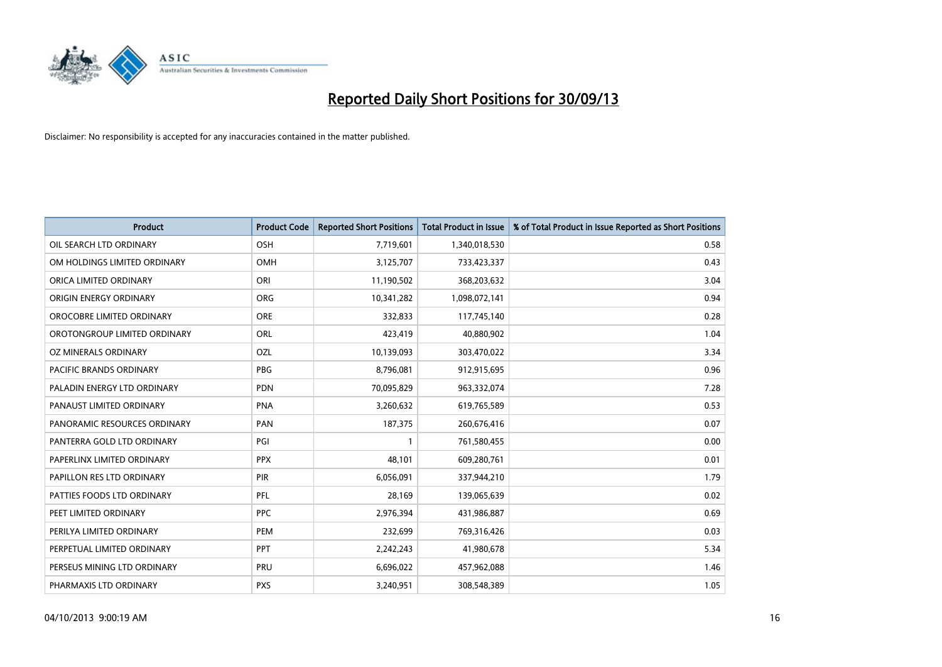

| <b>Product</b>               | <b>Product Code</b> | <b>Reported Short Positions</b> | <b>Total Product in Issue</b> | % of Total Product in Issue Reported as Short Positions |
|------------------------------|---------------------|---------------------------------|-------------------------------|---------------------------------------------------------|
| OIL SEARCH LTD ORDINARY      | OSH                 | 7,719,601                       | 1,340,018,530                 | 0.58                                                    |
| OM HOLDINGS LIMITED ORDINARY | OMH                 | 3,125,707                       | 733,423,337                   | 0.43                                                    |
| ORICA LIMITED ORDINARY       | ORI                 | 11,190,502                      | 368,203,632                   | 3.04                                                    |
| ORIGIN ENERGY ORDINARY       | <b>ORG</b>          | 10,341,282                      | 1,098,072,141                 | 0.94                                                    |
| OROCOBRE LIMITED ORDINARY    | <b>ORE</b>          | 332,833                         | 117,745,140                   | 0.28                                                    |
| OROTONGROUP LIMITED ORDINARY | <b>ORL</b>          | 423,419                         | 40,880,902                    | 1.04                                                    |
| OZ MINERALS ORDINARY         | OZL                 | 10,139,093                      | 303,470,022                   | 3.34                                                    |
| PACIFIC BRANDS ORDINARY      | <b>PBG</b>          | 8,796,081                       | 912,915,695                   | 0.96                                                    |
| PALADIN ENERGY LTD ORDINARY  | <b>PDN</b>          | 70,095,829                      | 963,332,074                   | 7.28                                                    |
| PANAUST LIMITED ORDINARY     | <b>PNA</b>          | 3,260,632                       | 619,765,589                   | 0.53                                                    |
| PANORAMIC RESOURCES ORDINARY | PAN                 | 187,375                         | 260,676,416                   | 0.07                                                    |
| PANTERRA GOLD LTD ORDINARY   | PGI                 | $\mathbf{1}$                    | 761,580,455                   | 0.00                                                    |
| PAPERLINX LIMITED ORDINARY   | <b>PPX</b>          | 48,101                          | 609,280,761                   | 0.01                                                    |
| PAPILLON RES LTD ORDINARY    | PIR                 | 6,056,091                       | 337,944,210                   | 1.79                                                    |
| PATTIES FOODS LTD ORDINARY   | PFL                 | 28,169                          | 139,065,639                   | 0.02                                                    |
| PEET LIMITED ORDINARY        | <b>PPC</b>          | 2,976,394                       | 431,986,887                   | 0.69                                                    |
| PERILYA LIMITED ORDINARY     | <b>PEM</b>          | 232,699                         | 769,316,426                   | 0.03                                                    |
| PERPETUAL LIMITED ORDINARY   | PPT                 | 2,242,243                       | 41,980,678                    | 5.34                                                    |
| PERSEUS MINING LTD ORDINARY  | PRU                 | 6,696,022                       | 457,962,088                   | 1.46                                                    |
| PHARMAXIS LTD ORDINARY       | <b>PXS</b>          | 3,240,951                       | 308,548,389                   | 1.05                                                    |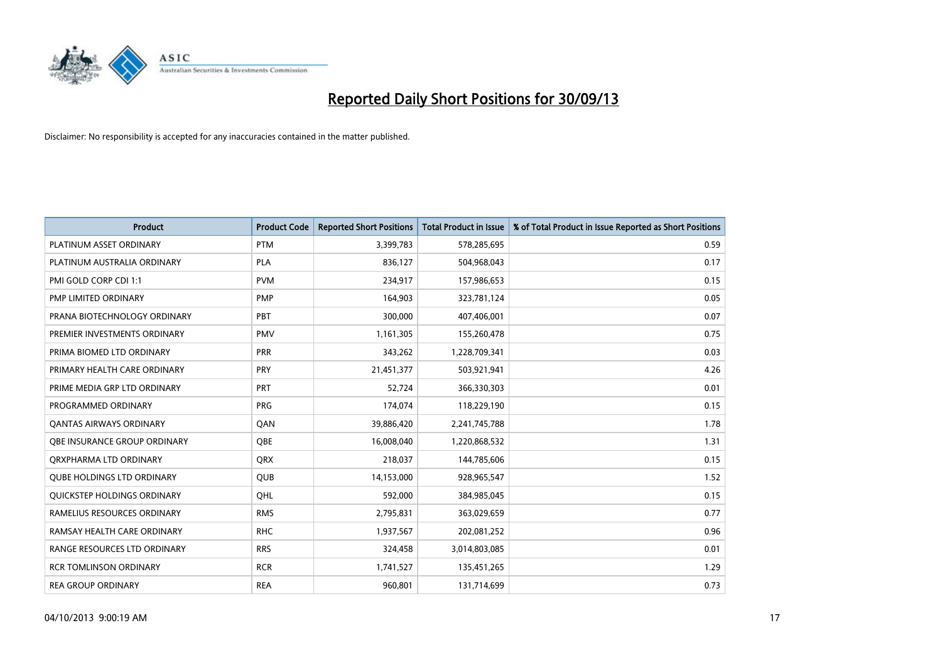

| <b>Product</b>                      | <b>Product Code</b> | <b>Reported Short Positions</b> | <b>Total Product in Issue</b> | % of Total Product in Issue Reported as Short Positions |
|-------------------------------------|---------------------|---------------------------------|-------------------------------|---------------------------------------------------------|
| PLATINUM ASSET ORDINARY             | <b>PTM</b>          | 3,399,783                       | 578,285,695                   | 0.59                                                    |
| PLATINUM AUSTRALIA ORDINARY         | <b>PLA</b>          | 836,127                         | 504,968,043                   | 0.17                                                    |
| PMI GOLD CORP CDI 1:1               | <b>PVM</b>          | 234,917                         | 157,986,653                   | 0.15                                                    |
| PMP LIMITED ORDINARY                | <b>PMP</b>          | 164,903                         | 323,781,124                   | 0.05                                                    |
| PRANA BIOTECHNOLOGY ORDINARY        | <b>PBT</b>          | 300,000                         | 407,406,001                   | 0.07                                                    |
| PREMIER INVESTMENTS ORDINARY        | PMV                 | 1,161,305                       | 155,260,478                   | 0.75                                                    |
| PRIMA BIOMED LTD ORDINARY           | <b>PRR</b>          | 343,262                         | 1,228,709,341                 | 0.03                                                    |
| PRIMARY HEALTH CARE ORDINARY        | <b>PRY</b>          | 21,451,377                      | 503,921,941                   | 4.26                                                    |
| PRIME MEDIA GRP LTD ORDINARY        | PRT                 | 52.724                          | 366,330,303                   | 0.01                                                    |
| PROGRAMMED ORDINARY                 | <b>PRG</b>          | 174,074                         | 118,229,190                   | 0.15                                                    |
| <b>QANTAS AIRWAYS ORDINARY</b>      | QAN                 | 39,886,420                      | 2,241,745,788                 | 1.78                                                    |
| <b>OBE INSURANCE GROUP ORDINARY</b> | QBE                 | 16,008,040                      | 1,220,868,532                 | 1.31                                                    |
| ORXPHARMA LTD ORDINARY              | <b>QRX</b>          | 218,037                         | 144,785,606                   | 0.15                                                    |
| <b>QUBE HOLDINGS LTD ORDINARY</b>   | QUB                 | 14,153,000                      | 928,965,547                   | 1.52                                                    |
| <b>OUICKSTEP HOLDINGS ORDINARY</b>  | OHL                 | 592,000                         | 384,985,045                   | 0.15                                                    |
| RAMELIUS RESOURCES ORDINARY         | <b>RMS</b>          | 2,795,831                       | 363,029,659                   | 0.77                                                    |
| RAMSAY HEALTH CARE ORDINARY         | <b>RHC</b>          | 1,937,567                       | 202,081,252                   | 0.96                                                    |
| RANGE RESOURCES LTD ORDINARY        | <b>RRS</b>          | 324,458                         | 3,014,803,085                 | 0.01                                                    |
| <b>RCR TOMLINSON ORDINARY</b>       | <b>RCR</b>          | 1,741,527                       | 135,451,265                   | 1.29                                                    |
| <b>REA GROUP ORDINARY</b>           | <b>REA</b>          | 960,801                         | 131,714,699                   | 0.73                                                    |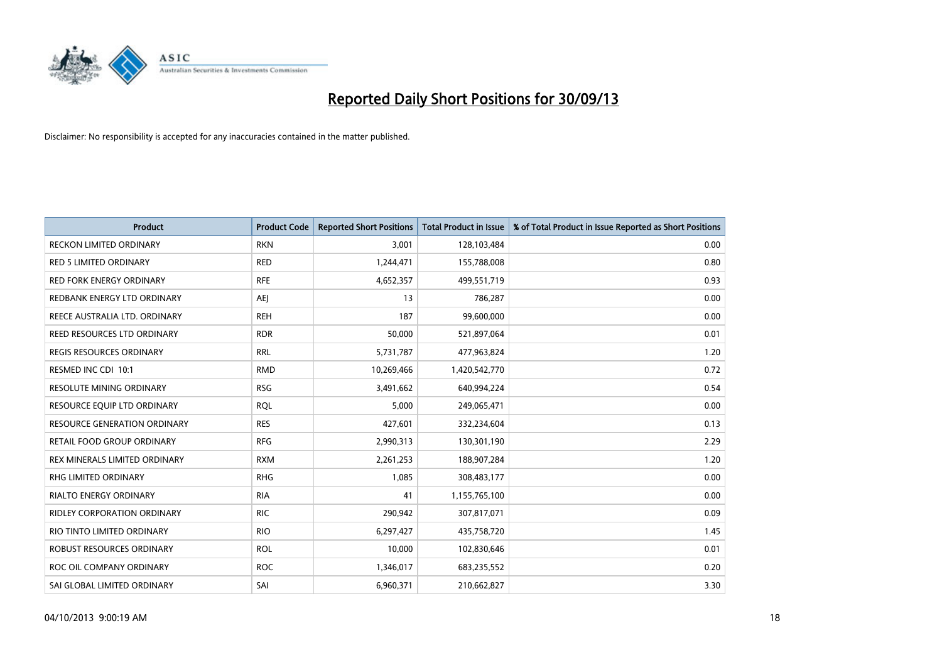

| Product                         | <b>Product Code</b> | <b>Reported Short Positions</b> | <b>Total Product in Issue</b> | % of Total Product in Issue Reported as Short Positions |
|---------------------------------|---------------------|---------------------------------|-------------------------------|---------------------------------------------------------|
| <b>RECKON LIMITED ORDINARY</b>  | <b>RKN</b>          | 3,001                           | 128,103,484                   | 0.00                                                    |
| <b>RED 5 LIMITED ORDINARY</b>   | <b>RED</b>          | 1,244,471                       | 155,788,008                   | 0.80                                                    |
| <b>RED FORK ENERGY ORDINARY</b> | <b>RFE</b>          | 4,652,357                       | 499,551,719                   | 0.93                                                    |
| REDBANK ENERGY LTD ORDINARY     | AEJ                 | 13                              | 786,287                       | 0.00                                                    |
| REECE AUSTRALIA LTD. ORDINARY   | <b>REH</b>          | 187                             | 99,600,000                    | 0.00                                                    |
| REED RESOURCES LTD ORDINARY     | <b>RDR</b>          | 50,000                          | 521,897,064                   | 0.01                                                    |
| <b>REGIS RESOURCES ORDINARY</b> | <b>RRL</b>          | 5,731,787                       | 477,963,824                   | 1.20                                                    |
| RESMED INC CDI 10:1             | <b>RMD</b>          | 10,269,466                      | 1,420,542,770                 | 0.72                                                    |
| <b>RESOLUTE MINING ORDINARY</b> | <b>RSG</b>          | 3,491,662                       | 640,994,224                   | 0.54                                                    |
| RESOURCE EQUIP LTD ORDINARY     | <b>ROL</b>          | 5,000                           | 249,065,471                   | 0.00                                                    |
| RESOURCE GENERATION ORDINARY    | <b>RES</b>          | 427,601                         | 332,234,604                   | 0.13                                                    |
| RETAIL FOOD GROUP ORDINARY      | <b>RFG</b>          | 2,990,313                       | 130,301,190                   | 2.29                                                    |
| REX MINERALS LIMITED ORDINARY   | <b>RXM</b>          | 2,261,253                       | 188,907,284                   | 1.20                                                    |
| <b>RHG LIMITED ORDINARY</b>     | <b>RHG</b>          | 1,085                           | 308,483,177                   | 0.00                                                    |
| <b>RIALTO ENERGY ORDINARY</b>   | <b>RIA</b>          | 41                              | 1,155,765,100                 | 0.00                                                    |
| RIDLEY CORPORATION ORDINARY     | <b>RIC</b>          | 290,942                         | 307,817,071                   | 0.09                                                    |
| RIO TINTO LIMITED ORDINARY      | <b>RIO</b>          | 6,297,427                       | 435,758,720                   | 1.45                                                    |
| ROBUST RESOURCES ORDINARY       | <b>ROL</b>          | 10,000                          | 102,830,646                   | 0.01                                                    |
| ROC OIL COMPANY ORDINARY        | <b>ROC</b>          | 1,346,017                       | 683,235,552                   | 0.20                                                    |
| SAI GLOBAL LIMITED ORDINARY     | SAI                 | 6,960,371                       | 210,662,827                   | 3.30                                                    |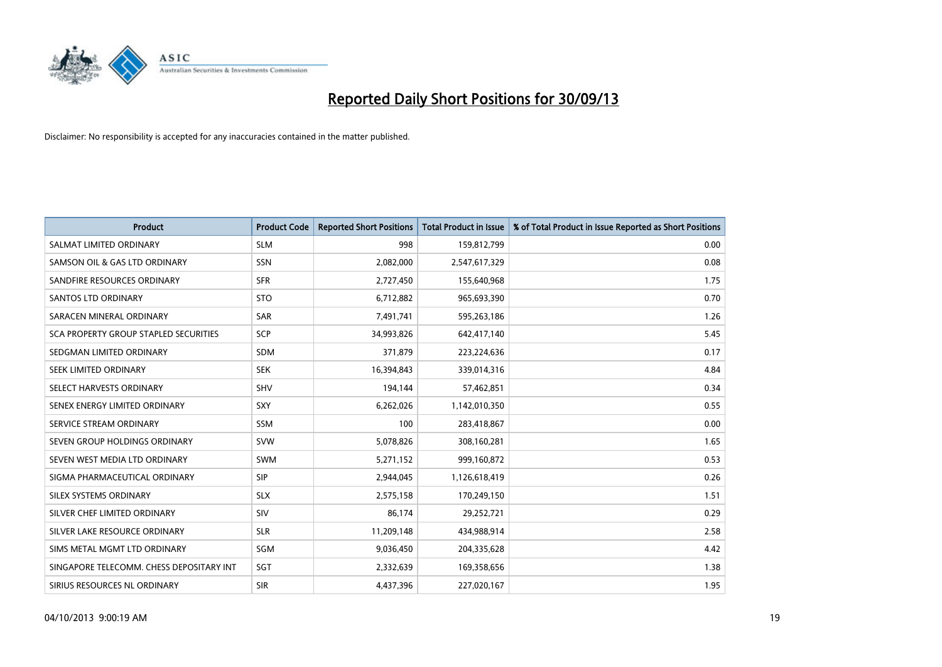

| <b>Product</b>                           | <b>Product Code</b> | <b>Reported Short Positions</b> | <b>Total Product in Issue</b> | % of Total Product in Issue Reported as Short Positions |
|------------------------------------------|---------------------|---------------------------------|-------------------------------|---------------------------------------------------------|
| SALMAT LIMITED ORDINARY                  | <b>SLM</b>          | 998                             | 159,812,799                   | 0.00                                                    |
| SAMSON OIL & GAS LTD ORDINARY            | <b>SSN</b>          | 2,082,000                       | 2,547,617,329                 | 0.08                                                    |
| SANDFIRE RESOURCES ORDINARY              | <b>SFR</b>          | 2,727,450                       | 155,640,968                   | 1.75                                                    |
| <b>SANTOS LTD ORDINARY</b>               | <b>STO</b>          | 6,712,882                       | 965,693,390                   | 0.70                                                    |
| SARACEN MINERAL ORDINARY                 | <b>SAR</b>          | 7,491,741                       | 595,263,186                   | 1.26                                                    |
| SCA PROPERTY GROUP STAPLED SECURITIES    | SCP                 | 34,993,826                      | 642,417,140                   | 5.45                                                    |
| SEDGMAN LIMITED ORDINARY                 | <b>SDM</b>          | 371,879                         | 223,224,636                   | 0.17                                                    |
| SEEK LIMITED ORDINARY                    | <b>SEK</b>          | 16,394,843                      | 339,014,316                   | 4.84                                                    |
| SELECT HARVESTS ORDINARY                 | SHV                 | 194,144                         | 57,462,851                    | 0.34                                                    |
| SENEX ENERGY LIMITED ORDINARY            | <b>SXY</b>          | 6,262,026                       | 1,142,010,350                 | 0.55                                                    |
| SERVICE STREAM ORDINARY                  | SSM                 | 100                             | 283,418,867                   | 0.00                                                    |
| SEVEN GROUP HOLDINGS ORDINARY            | <b>SVW</b>          | 5,078,826                       | 308,160,281                   | 1.65                                                    |
| SEVEN WEST MEDIA LTD ORDINARY            | <b>SWM</b>          | 5,271,152                       | 999,160,872                   | 0.53                                                    |
| SIGMA PHARMACEUTICAL ORDINARY            | <b>SIP</b>          | 2,944,045                       | 1,126,618,419                 | 0.26                                                    |
| SILEX SYSTEMS ORDINARY                   | <b>SLX</b>          | 2,575,158                       | 170,249,150                   | 1.51                                                    |
| SILVER CHEF LIMITED ORDINARY             | SIV                 | 86,174                          | 29,252,721                    | 0.29                                                    |
| SILVER LAKE RESOURCE ORDINARY            | <b>SLR</b>          | 11,209,148                      | 434,988,914                   | 2.58                                                    |
| SIMS METAL MGMT LTD ORDINARY             | SGM                 | 9,036,450                       | 204,335,628                   | 4.42                                                    |
| SINGAPORE TELECOMM. CHESS DEPOSITARY INT | SGT                 | 2,332,639                       | 169,358,656                   | 1.38                                                    |
| SIRIUS RESOURCES NL ORDINARY             | <b>SIR</b>          | 4,437,396                       | 227,020,167                   | 1.95                                                    |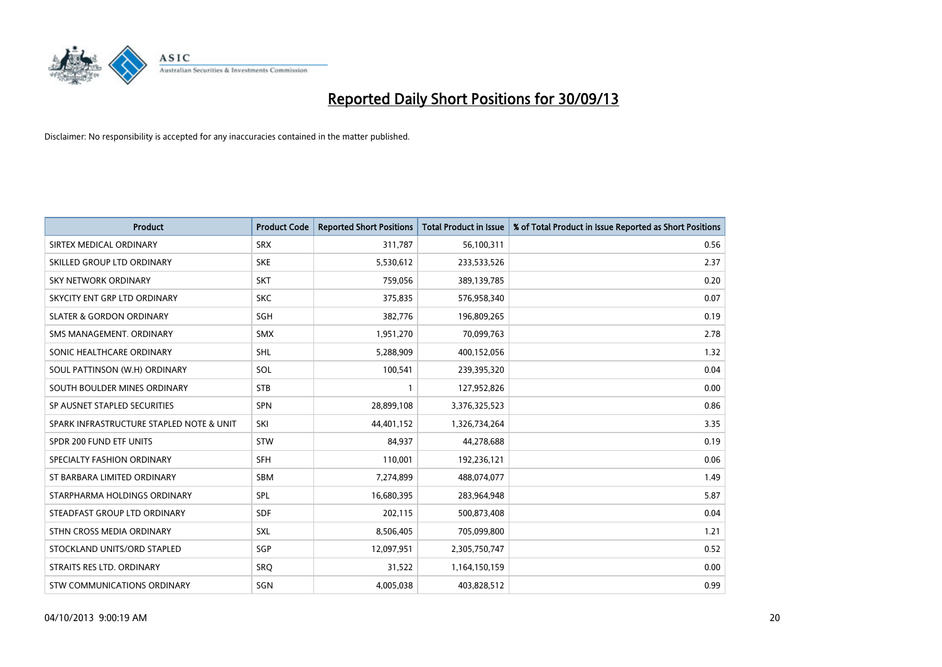

| <b>Product</b>                           | <b>Product Code</b> | <b>Reported Short Positions</b> | <b>Total Product in Issue</b> | % of Total Product in Issue Reported as Short Positions |
|------------------------------------------|---------------------|---------------------------------|-------------------------------|---------------------------------------------------------|
| SIRTEX MEDICAL ORDINARY                  | <b>SRX</b>          | 311,787                         | 56,100,311                    | 0.56                                                    |
| SKILLED GROUP LTD ORDINARY               | <b>SKE</b>          | 5,530,612                       | 233,533,526                   | 2.37                                                    |
| <b>SKY NETWORK ORDINARY</b>              | <b>SKT</b>          | 759,056                         | 389,139,785                   | 0.20                                                    |
| SKYCITY ENT GRP LTD ORDINARY             | <b>SKC</b>          | 375,835                         | 576,958,340                   | 0.07                                                    |
| <b>SLATER &amp; GORDON ORDINARY</b>      | SGH                 | 382,776                         | 196,809,265                   | 0.19                                                    |
| SMS MANAGEMENT, ORDINARY                 | <b>SMX</b>          | 1,951,270                       | 70,099,763                    | 2.78                                                    |
| SONIC HEALTHCARE ORDINARY                | <b>SHL</b>          | 5,288,909                       | 400,152,056                   | 1.32                                                    |
| SOUL PATTINSON (W.H) ORDINARY            | SOL                 | 100,541                         | 239,395,320                   | 0.04                                                    |
| SOUTH BOULDER MINES ORDINARY             | <b>STB</b>          | 1                               | 127,952,826                   | 0.00                                                    |
| SP AUSNET STAPLED SECURITIES             | SPN                 | 28,899,108                      | 3,376,325,523                 | 0.86                                                    |
| SPARK INFRASTRUCTURE STAPLED NOTE & UNIT | SKI                 | 44,401,152                      | 1,326,734,264                 | 3.35                                                    |
| SPDR 200 FUND ETF UNITS                  | <b>STW</b>          | 84,937                          | 44,278,688                    | 0.19                                                    |
| SPECIALTY FASHION ORDINARY               | <b>SFH</b>          | 110,001                         | 192,236,121                   | 0.06                                                    |
| ST BARBARA LIMITED ORDINARY              | <b>SBM</b>          | 7,274,899                       | 488,074,077                   | 1.49                                                    |
| STARPHARMA HOLDINGS ORDINARY             | <b>SPL</b>          | 16,680,395                      | 283,964,948                   | 5.87                                                    |
| STEADFAST GROUP LTD ORDINARY             | SDF                 | 202,115                         | 500,873,408                   | 0.04                                                    |
| STHN CROSS MEDIA ORDINARY                | SXL                 | 8,506,405                       | 705,099,800                   | 1.21                                                    |
| STOCKLAND UNITS/ORD STAPLED              | SGP                 | 12,097,951                      | 2,305,750,747                 | 0.52                                                    |
| STRAITS RES LTD. ORDINARY                | <b>SRO</b>          | 31,522                          | 1,164,150,159                 | 0.00                                                    |
| STW COMMUNICATIONS ORDINARY              | SGN                 | 4,005,038                       | 403,828,512                   | 0.99                                                    |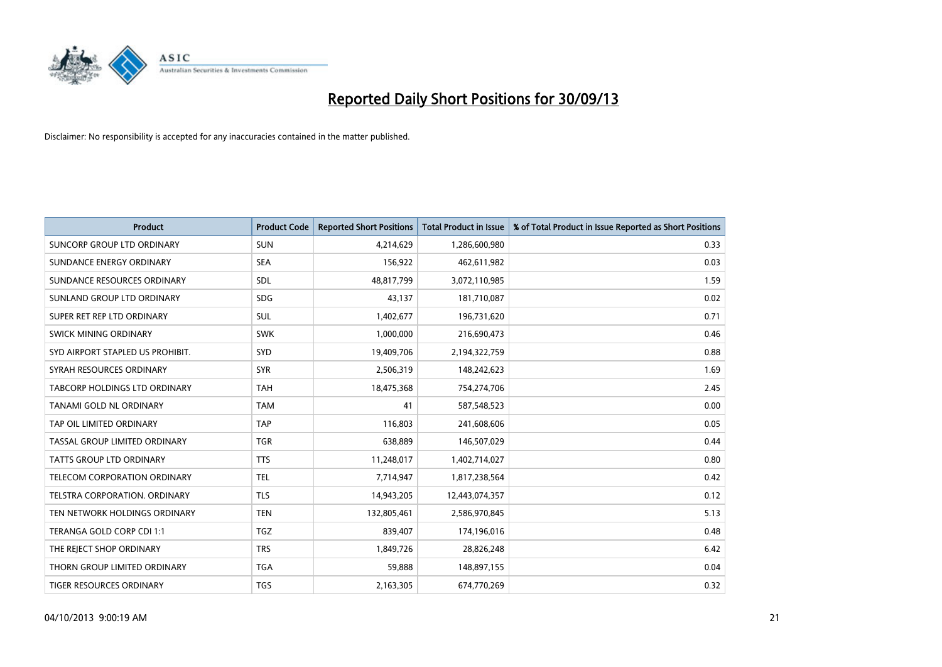

| <b>Product</b>                    | <b>Product Code</b> | <b>Reported Short Positions</b> | <b>Total Product in Issue</b> | % of Total Product in Issue Reported as Short Positions |
|-----------------------------------|---------------------|---------------------------------|-------------------------------|---------------------------------------------------------|
| <b>SUNCORP GROUP LTD ORDINARY</b> | <b>SUN</b>          | 4,214,629                       | 1,286,600,980                 | 0.33                                                    |
| SUNDANCE ENERGY ORDINARY          | <b>SEA</b>          | 156,922                         | 462,611,982                   | 0.03                                                    |
| SUNDANCE RESOURCES ORDINARY       | <b>SDL</b>          | 48,817,799                      | 3,072,110,985                 | 1.59                                                    |
| SUNLAND GROUP LTD ORDINARY        | <b>SDG</b>          | 43,137                          | 181,710,087                   | 0.02                                                    |
| SUPER RET REP LTD ORDINARY        | SUL                 | 1,402,677                       | 196,731,620                   | 0.71                                                    |
| SWICK MINING ORDINARY             | <b>SWK</b>          | 1,000,000                       | 216,690,473                   | 0.46                                                    |
| SYD AIRPORT STAPLED US PROHIBIT.  | <b>SYD</b>          | 19,409,706                      | 2,194,322,759                 | 0.88                                                    |
| SYRAH RESOURCES ORDINARY          | <b>SYR</b>          | 2,506,319                       | 148,242,623                   | 1.69                                                    |
| TABCORP HOLDINGS LTD ORDINARY     | <b>TAH</b>          | 18,475,368                      | 754,274,706                   | 2.45                                                    |
| <b>TANAMI GOLD NL ORDINARY</b>    | <b>TAM</b>          | 41                              | 587,548,523                   | 0.00                                                    |
| TAP OIL LIMITED ORDINARY          | <b>TAP</b>          | 116,803                         | 241,608,606                   | 0.05                                                    |
| TASSAL GROUP LIMITED ORDINARY     | <b>TGR</b>          | 638,889                         | 146,507,029                   | 0.44                                                    |
| TATTS GROUP LTD ORDINARY          | <b>TTS</b>          | 11,248,017                      | 1,402,714,027                 | 0.80                                                    |
| TELECOM CORPORATION ORDINARY      | <b>TEL</b>          | 7,714,947                       | 1,817,238,564                 | 0.42                                                    |
| TELSTRA CORPORATION, ORDINARY     | <b>TLS</b>          | 14,943,205                      | 12,443,074,357                | 0.12                                                    |
| TEN NETWORK HOLDINGS ORDINARY     | <b>TEN</b>          | 132,805,461                     | 2,586,970,845                 | 5.13                                                    |
| TERANGA GOLD CORP CDI 1:1         | <b>TGZ</b>          | 839,407                         | 174,196,016                   | 0.48                                                    |
| THE REJECT SHOP ORDINARY          | <b>TRS</b>          | 1,849,726                       | 28,826,248                    | 6.42                                                    |
| THORN GROUP LIMITED ORDINARY      | <b>TGA</b>          | 59,888                          | 148,897,155                   | 0.04                                                    |
| TIGER RESOURCES ORDINARY          | <b>TGS</b>          | 2,163,305                       | 674,770,269                   | 0.32                                                    |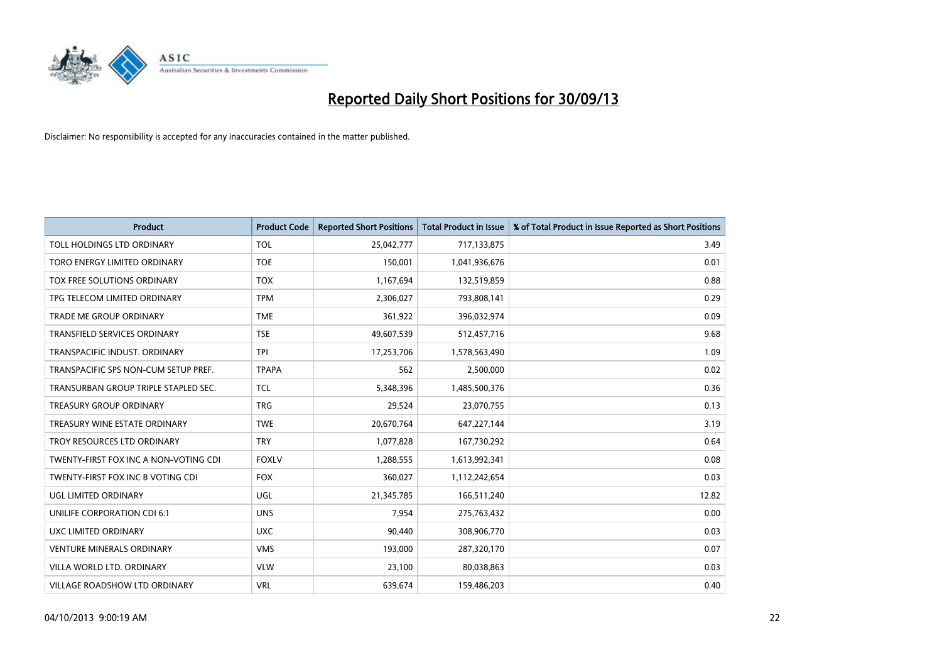

| <b>Product</b>                        | <b>Product Code</b> | <b>Reported Short Positions</b> | <b>Total Product in Issue</b> | % of Total Product in Issue Reported as Short Positions |
|---------------------------------------|---------------------|---------------------------------|-------------------------------|---------------------------------------------------------|
| TOLL HOLDINGS LTD ORDINARY            | <b>TOL</b>          | 25,042,777                      | 717,133,875                   | 3.49                                                    |
| TORO ENERGY LIMITED ORDINARY          | <b>TOE</b>          | 150,001                         | 1,041,936,676                 | 0.01                                                    |
| TOX FREE SOLUTIONS ORDINARY           | <b>TOX</b>          | 1,167,694                       | 132,519,859                   | 0.88                                                    |
| TPG TELECOM LIMITED ORDINARY          | <b>TPM</b>          | 2,306,027                       | 793,808,141                   | 0.29                                                    |
| <b>TRADE ME GROUP ORDINARY</b>        | <b>TME</b>          | 361,922                         | 396,032,974                   | 0.09                                                    |
| <b>TRANSFIELD SERVICES ORDINARY</b>   | <b>TSE</b>          | 49,607,539                      | 512,457,716                   | 9.68                                                    |
| TRANSPACIFIC INDUST, ORDINARY         | <b>TPI</b>          | 17,253,706                      | 1,578,563,490                 | 1.09                                                    |
| TRANSPACIFIC SPS NON-CUM SETUP PREF.  | <b>TPAPA</b>        | 562                             | 2,500,000                     | 0.02                                                    |
| TRANSURBAN GROUP TRIPLE STAPLED SEC.  | <b>TCL</b>          | 5,348,396                       | 1,485,500,376                 | 0.36                                                    |
| <b>TREASURY GROUP ORDINARY</b>        | <b>TRG</b>          | 29,524                          | 23,070,755                    | 0.13                                                    |
| TREASURY WINE ESTATE ORDINARY         | <b>TWE</b>          | 20,670,764                      | 647,227,144                   | 3.19                                                    |
| TROY RESOURCES LTD ORDINARY           | <b>TRY</b>          | 1,077,828                       | 167,730,292                   | 0.64                                                    |
| TWENTY-FIRST FOX INC A NON-VOTING CDI | <b>FOXLV</b>        | 1,288,555                       | 1,613,992,341                 | 0.08                                                    |
| TWENTY-FIRST FOX INC B VOTING CDI     | <b>FOX</b>          | 360,027                         | 1,112,242,654                 | 0.03                                                    |
| UGL LIMITED ORDINARY                  | UGL                 | 21,345,785                      | 166,511,240                   | 12.82                                                   |
| UNILIFE CORPORATION CDI 6:1           | <b>UNS</b>          | 7,954                           | 275,763,432                   | 0.00                                                    |
| UXC LIMITED ORDINARY                  | <b>UXC</b>          | 90,440                          | 308,906,770                   | 0.03                                                    |
| <b>VENTURE MINERALS ORDINARY</b>      | <b>VMS</b>          | 193,000                         | 287,320,170                   | 0.07                                                    |
| VILLA WORLD LTD, ORDINARY             | <b>VLW</b>          | 23,100                          | 80,038,863                    | 0.03                                                    |
| <b>VILLAGE ROADSHOW LTD ORDINARY</b>  | <b>VRL</b>          | 639,674                         | 159,486,203                   | 0.40                                                    |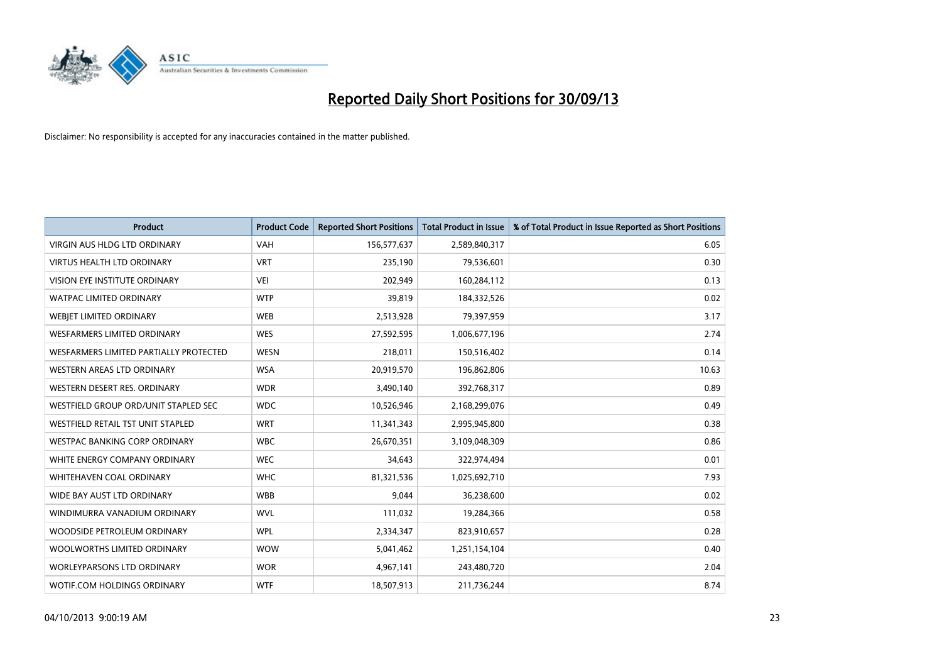

| <b>Product</b>                         | <b>Product Code</b> | <b>Reported Short Positions</b> | <b>Total Product in Issue</b> | % of Total Product in Issue Reported as Short Positions |
|----------------------------------------|---------------------|---------------------------------|-------------------------------|---------------------------------------------------------|
| <b>VIRGIN AUS HLDG LTD ORDINARY</b>    | <b>VAH</b>          | 156,577,637                     | 2,589,840,317                 | 6.05                                                    |
| <b>VIRTUS HEALTH LTD ORDINARY</b>      | <b>VRT</b>          | 235,190                         | 79,536,601                    | 0.30                                                    |
| VISION EYE INSTITUTE ORDINARY          | <b>VEI</b>          | 202,949                         | 160,284,112                   | 0.13                                                    |
| WATPAC LIMITED ORDINARY                | <b>WTP</b>          | 39,819                          | 184,332,526                   | 0.02                                                    |
| WEBJET LIMITED ORDINARY                | <b>WEB</b>          | 2,513,928                       | 79,397,959                    | 3.17                                                    |
| WESFARMERS LIMITED ORDINARY            | <b>WES</b>          | 27,592,595                      | 1,006,677,196                 | 2.74                                                    |
| WESFARMERS LIMITED PARTIALLY PROTECTED | <b>WESN</b>         | 218,011                         | 150,516,402                   | 0.14                                                    |
| WESTERN AREAS LTD ORDINARY             | <b>WSA</b>          | 20,919,570                      | 196,862,806                   | 10.63                                                   |
| WESTERN DESERT RES. ORDINARY           | <b>WDR</b>          | 3,490,140                       | 392,768,317                   | 0.89                                                    |
| WESTFIELD GROUP ORD/UNIT STAPLED SEC   | <b>WDC</b>          | 10,526,946                      | 2,168,299,076                 | 0.49                                                    |
| WESTFIELD RETAIL TST UNIT STAPLED      | <b>WRT</b>          | 11,341,343                      | 2,995,945,800                 | 0.38                                                    |
| <b>WESTPAC BANKING CORP ORDINARY</b>   | <b>WBC</b>          | 26,670,351                      | 3,109,048,309                 | 0.86                                                    |
| WHITE ENERGY COMPANY ORDINARY          | <b>WEC</b>          | 34,643                          | 322,974,494                   | 0.01                                                    |
| WHITEHAVEN COAL ORDINARY               | <b>WHC</b>          | 81,321,536                      | 1,025,692,710                 | 7.93                                                    |
| WIDE BAY AUST LTD ORDINARY             | <b>WBB</b>          | 9,044                           | 36,238,600                    | 0.02                                                    |
| WINDIMURRA VANADIUM ORDINARY           | <b>WVL</b>          | 111,032                         | 19,284,366                    | 0.58                                                    |
| WOODSIDE PETROLEUM ORDINARY            | <b>WPL</b>          | 2,334,347                       | 823,910,657                   | 0.28                                                    |
| WOOLWORTHS LIMITED ORDINARY            | <b>WOW</b>          | 5,041,462                       | 1,251,154,104                 | 0.40                                                    |
| <b>WORLEYPARSONS LTD ORDINARY</b>      | <b>WOR</b>          | 4,967,141                       | 243,480,720                   | 2.04                                                    |
| WOTIF.COM HOLDINGS ORDINARY            | <b>WTF</b>          | 18,507,913                      | 211,736,244                   | 8.74                                                    |